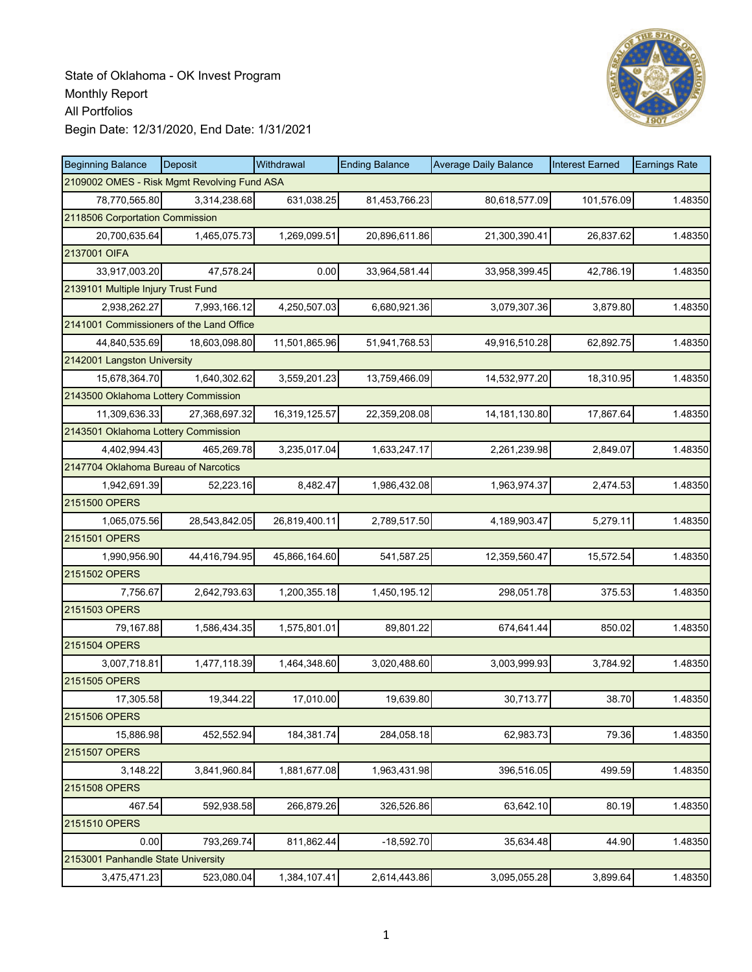

| <b>Beginning Balance</b>                    | <b>Deposit</b> | Withdrawal    | <b>Ending Balance</b> | <b>Average Daily Balance</b> | <b>Interest Earned</b> | <b>Earnings Rate</b> |
|---------------------------------------------|----------------|---------------|-----------------------|------------------------------|------------------------|----------------------|
| 2109002 OMES - Risk Mgmt Revolving Fund ASA |                |               |                       |                              |                        |                      |
| 78,770,565.80                               | 3,314,238.68   | 631,038.25    | 81,453,766.23         | 80,618,577.09                | 101,576.09             | 1.48350              |
| 2118506 Corportation Commission             |                |               |                       |                              |                        |                      |
| 20,700,635.64                               | 1,465,075.73   | 1,269,099.51  | 20,896,611.86         | 21,300,390.41                | 26,837.62              | 1.48350              |
| 2137001 OIFA                                |                |               |                       |                              |                        |                      |
| 33,917,003.20                               | 47,578.24      | 0.00          | 33,964,581.44         | 33,958,399.45                | 42,786.19              | 1.48350              |
| 2139101 Multiple Injury Trust Fund          |                |               |                       |                              |                        |                      |
| 2,938,262.27                                | 7,993,166.12   | 4,250,507.03  | 6,680,921.36          | 3,079,307.36                 | 3,879.80               | 1.48350              |
| 2141001 Commissioners of the Land Office    |                |               |                       |                              |                        |                      |
| 44,840,535.69                               | 18,603,098.80  | 11,501,865.96 | 51,941,768.53         | 49,916,510.28                | 62,892.75              | 1.48350              |
| 2142001 Langston University                 |                |               |                       |                              |                        |                      |
| 15,678,364.70                               | 1,640,302.62   | 3,559,201.23  | 13,759,466.09         | 14,532,977.20                | 18,310.95              | 1.48350              |
| 2143500 Oklahoma Lottery Commission         |                |               |                       |                              |                        |                      |
| 11,309,636.33                               | 27,368,697.32  | 16,319,125.57 | 22,359,208.08         | 14, 181, 130.80              | 17,867.64              | 1.48350              |
| 2143501 Oklahoma Lottery Commission         |                |               |                       |                              |                        |                      |
| 4,402,994.43                                | 465,269.78     | 3,235,017.04  | 1,633,247.17          | 2,261,239.98                 | 2,849.07               | 1.48350              |
| 2147704 Oklahoma Bureau of Narcotics        |                |               |                       |                              |                        |                      |
| 1,942,691.39                                | 52,223.16      | 8,482.47      | 1,986,432.08          | 1,963,974.37                 | 2,474.53               | 1.48350              |
| 2151500 OPERS                               |                |               |                       |                              |                        |                      |
| 1,065,075.56                                | 28,543,842.05  | 26,819,400.11 | 2,789,517.50          | 4,189,903.47                 | 5,279.11               | 1.48350              |
| 2151501 OPERS                               |                |               |                       |                              |                        |                      |
| 1,990,956.90                                | 44,416,794.95  | 45,866,164.60 | 541,587.25            | 12,359,560.47                | 15,572.54              | 1.48350              |
| 2151502 OPERS                               |                |               |                       |                              |                        |                      |
| 7,756.67                                    | 2,642,793.63   | 1,200,355.18  | 1,450,195.12          | 298,051.78                   | 375.53                 | 1.48350              |
| 2151503 OPERS                               |                |               |                       |                              |                        |                      |
| 79,167.88                                   | 1,586,434.35   | 1,575,801.01  | 89,801.22             | 674,641.44                   | 850.02                 | 1.48350              |
| 2151504 OPERS                               |                |               |                       |                              |                        |                      |
| 3,007,718.81                                | 1,477,118.39   | 1,464,348.60  | 3,020,488.60          | 3,003,999.93                 | 3,784.92               | 1.48350              |
| 2151505 OPERS                               |                |               |                       |                              |                        |                      |
| 17,305.58                                   | 19,344.22      | 17,010.00     | 19,639.80             | 30,713.77                    | 38.70                  | 1.48350              |
| 2151506 OPERS                               |                |               |                       |                              |                        |                      |
| 15,886.98                                   | 452,552.94     | 184,381.74    | 284,058.18            | 62,983.73                    | 79.36                  | 1.48350              |
| 2151507 OPERS                               |                |               |                       |                              |                        |                      |
| 3,148.22                                    | 3,841,960.84   | 1,881,677.08  | 1,963,431.98          | 396,516.05                   | 499.59                 | 1.48350              |
| 2151508 OPERS                               |                |               |                       |                              |                        |                      |
| 467.54                                      | 592,938.58     | 266,879.26    | 326,526.86            | 63,642.10                    | 80.19                  | 1.48350              |
| 2151510 OPERS                               |                |               |                       |                              |                        |                      |
| 0.00                                        | 793,269.74     | 811,862.44    | $-18,592.70$          | 35,634.48                    | 44.90                  | 1.48350              |
| 2153001 Panhandle State University          |                |               |                       |                              |                        |                      |
| 3,475,471.23                                | 523,080.04     | 1,384,107.41  | 2,614,443.86          | 3,095,055.28                 | 3,899.64               | 1.48350              |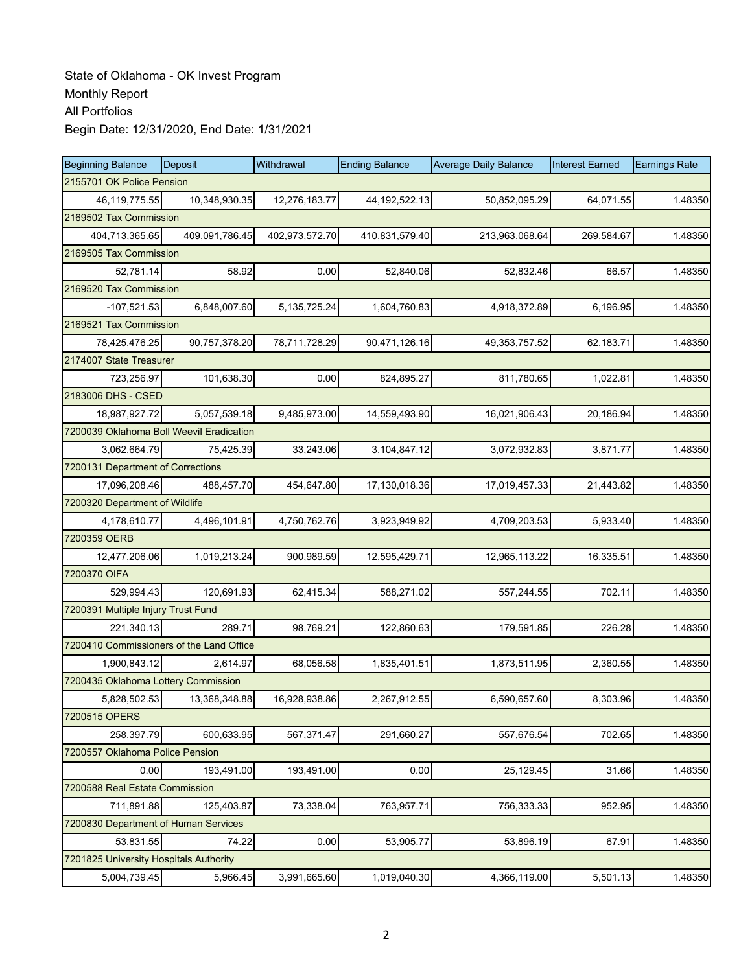| <b>Beginning Balance</b>                 | Deposit        | Withdrawal      | <b>Ending Balance</b> | <b>Average Daily Balance</b> | <b>Interest Earned</b> | <b>Earnings Rate</b> |
|------------------------------------------|----------------|-----------------|-----------------------|------------------------------|------------------------|----------------------|
| 2155701 OK Police Pension                |                |                 |                       |                              |                        |                      |
| 46,119,775.55                            | 10,348,930.35  | 12,276,183.77   | 44, 192, 522. 13      | 50,852,095.29                | 64,071.55              | 1.48350              |
| 2169502 Tax Commission                   |                |                 |                       |                              |                        |                      |
| 404,713,365.65                           | 409,091,786.45 | 402,973,572.70  | 410,831,579.40        | 213,963,068.64               | 269,584.67             | 1.48350              |
| 2169505 Tax Commission                   |                |                 |                       |                              |                        |                      |
| 52,781.14                                | 58.92          | 0.00            | 52,840.06             | 52,832.46                    | 66.57                  | 1.48350              |
| 2169520 Tax Commission                   |                |                 |                       |                              |                        |                      |
| $-107,521.53$                            | 6,848,007.60   | 5, 135, 725. 24 | 1,604,760.83          | 4,918,372.89                 | 6,196.95               | 1.48350              |
| 2169521 Tax Commission                   |                |                 |                       |                              |                        |                      |
| 78,425,476.25                            | 90,757,378.20  | 78,711,728.29   | 90,471,126.16         | 49, 353, 757.52              | 62,183.71              | 1.48350              |
| 2174007 State Treasurer                  |                |                 |                       |                              |                        |                      |
| 723,256.97                               | 101,638.30     | 0.00            | 824,895.27            | 811,780.65                   | 1,022.81               | 1.48350              |
| 2183006 DHS - CSED                       |                |                 |                       |                              |                        |                      |
| 18,987,927.72                            | 5,057,539.18   | 9,485,973.00    | 14,559,493.90         | 16,021,906.43                | 20,186.94              | 1.48350              |
| 7200039 Oklahoma Boll Weevil Eradication |                |                 |                       |                              |                        |                      |
| 3,062,664.79                             | 75,425.39      | 33,243.06       | 3,104,847.12          | 3,072,932.83                 | 3,871.77               | 1.48350              |
| 7200131 Department of Corrections        |                |                 |                       |                              |                        |                      |
| 17,096,208.46                            | 488,457.70     | 454,647.80      | 17,130,018.36         | 17,019,457.33                | 21,443.82              | 1.48350              |
| 7200320 Department of Wildlife           |                |                 |                       |                              |                        |                      |
| 4,178,610.77                             | 4,496,101.91   | 4,750,762.76    | 3,923,949.92          | 4,709,203.53                 | 5,933.40               | 1.48350              |
| 7200359 OERB                             |                |                 |                       |                              |                        |                      |
| 12,477,206.06                            | 1,019,213.24   | 900,989.59      | 12,595,429.71         | 12,965,113.22                | 16,335.51              | 1.48350              |
| 7200370 OIFA                             |                |                 |                       |                              |                        |                      |
| 529,994.43                               | 120,691.93     | 62,415.34       | 588,271.02            | 557,244.55                   | 702.11                 | 1.48350              |
| 7200391 Multiple Injury Trust Fund       |                |                 |                       |                              |                        |                      |
| 221,340.13                               | 289.71         | 98,769.21       | 122,860.63            | 179,591.85                   | 226.28                 | 1.48350              |
| 7200410 Commissioners of the Land Office |                |                 |                       |                              |                        |                      |
| 1,900,843.12                             | 2,614.97       | 68,056.58       | 1,835,401.51          | 1,873,511.95                 | 2,360.55               | 1.48350              |
| 7200435 Oklahoma Lottery Commission      |                |                 |                       |                              |                        |                      |
| 5,828,502.53                             | 13,368,348.88  | 16,928,938.86   | 2,267,912.55          | 6,590,657.60                 | 8,303.96               | 1.48350              |
| 7200515 OPERS                            |                |                 |                       |                              |                        |                      |
| 258,397.79                               | 600,633.95     | 567,371.47      | 291,660.27            | 557,676.54                   | 702.65                 | 1.48350              |
| 7200557 Oklahoma Police Pension          |                |                 |                       |                              |                        |                      |
| 0.00                                     | 193,491.00     | 193,491.00      | 0.00                  | 25,129.45                    | 31.66                  | 1.48350              |
| 7200588 Real Estate Commission           |                |                 |                       |                              |                        |                      |
| 711,891.88                               | 125,403.87     | 73,338.04       | 763,957.71            | 756,333.33                   | 952.95                 | 1.48350              |
| 7200830 Department of Human Services     |                |                 |                       |                              |                        |                      |
| 53,831.55                                | 74.22          | 0.00            | 53,905.77             | 53,896.19                    | 67.91                  | 1.48350              |
| 7201825 University Hospitals Authority   |                |                 |                       |                              |                        |                      |
| 5,004,739.45                             | 5,966.45       | 3,991,665.60    | 1,019,040.30          | 4,366,119.00                 | 5,501.13               | 1.48350              |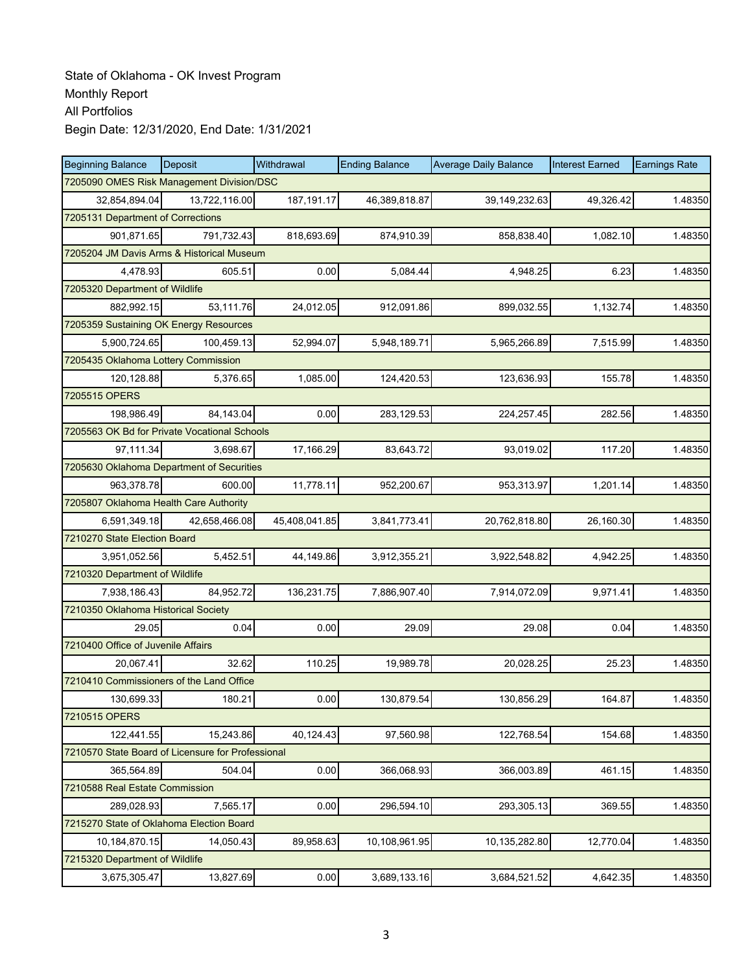| <b>Beginning Balance</b>                          | Deposit       | Withdrawal    | <b>Ending Balance</b> | <b>Average Daily Balance</b> | <b>Interest Earned</b> | <b>Earnings Rate</b> |
|---------------------------------------------------|---------------|---------------|-----------------------|------------------------------|------------------------|----------------------|
| 7205090 OMES Risk Management Division/DSC         |               |               |                       |                              |                        |                      |
| 32,854,894.04                                     | 13,722,116.00 | 187, 191. 17  | 46,389,818.87         | 39,149,232.63                | 49,326.42              | 1.48350              |
| 7205131 Department of Corrections                 |               |               |                       |                              |                        |                      |
| 901,871.65                                        | 791,732.43    | 818,693.69    | 874,910.39            | 858,838.40                   | 1,082.10               | 1.48350              |
| 7205204 JM Davis Arms & Historical Museum         |               |               |                       |                              |                        |                      |
| 4,478.93                                          | 605.51        | 0.00          | 5,084.44              | 4,948.25                     | 6.23                   | 1.48350              |
| 7205320 Department of Wildlife                    |               |               |                       |                              |                        |                      |
| 882,992.15                                        | 53,111.76     | 24,012.05     | 912,091.86            | 899.032.55                   | 1,132.74               | 1.48350              |
| 7205359 Sustaining OK Energy Resources            |               |               |                       |                              |                        |                      |
| 5,900,724.65                                      | 100,459.13    | 52,994.07     | 5,948,189.71          | 5,965,266.89                 | 7,515.99               | 1.48350              |
| 7205435 Oklahoma Lottery Commission               |               |               |                       |                              |                        |                      |
| 120,128.88                                        | 5,376.65      | 1,085.00      | 124,420.53            | 123,636.93                   | 155.78                 | 1.48350              |
| 7205515 OPERS                                     |               |               |                       |                              |                        |                      |
| 198.986.49                                        | 84,143.04     | 0.00          | 283,129.53            | 224,257.45                   | 282.56                 | 1.48350              |
| 7205563 OK Bd for Private Vocational Schools      |               |               |                       |                              |                        |                      |
| 97,111.34                                         | 3,698.67      | 17,166.29     | 83,643.72             | 93,019.02                    | 117.20                 | 1.48350              |
| 7205630 Oklahoma Department of Securities         |               |               |                       |                              |                        |                      |
| 963,378.78                                        | 600.00        | 11,778.11     | 952,200.67            | 953,313.97                   | 1,201.14               | 1.48350              |
| 7205807 Oklahoma Health Care Authority            |               |               |                       |                              |                        |                      |
| 6,591,349.18                                      | 42,658,466.08 | 45,408,041.85 | 3,841,773.41          | 20,762,818.80                | 26,160.30              | 1.48350              |
| 7210270 State Election Board                      |               |               |                       |                              |                        |                      |
| 3,951,052.56                                      | 5,452.51      | 44,149.86     | 3,912,355.21          | 3,922,548.82                 | 4,942.25               | 1.48350              |
| 7210320 Department of Wildlife                    |               |               |                       |                              |                        |                      |
| 7,938,186.43                                      | 84,952.72     | 136,231.75    | 7,886,907.40          | 7,914,072.09                 | 9,971.41               | 1.48350              |
| 7210350 Oklahoma Historical Society               |               |               |                       |                              |                        |                      |
| 29.05                                             | 0.04          | 0.00          | 29.09                 | 29.08                        | 0.04                   | 1.48350              |
| 7210400 Office of Juvenile Affairs                |               |               |                       |                              |                        |                      |
| 20,067.41                                         | 32.62         | 110.25        | 19,989.78             | 20,028.25                    | 25.23                  | 1.48350              |
| 7210410 Commissioners of the Land Office          |               |               |                       |                              |                        |                      |
| 130,699.33                                        | 180.21        | 0.00          | 130,879.54            | 130,856.29                   | 164.87                 | 1.48350              |
| 7210515 OPERS                                     |               |               |                       |                              |                        |                      |
| 122,441.55                                        | 15,243.86     | 40,124.43     | 97,560.98             | 122,768.54                   | 154.68                 | 1.48350              |
| 7210570 State Board of Licensure for Professional |               |               |                       |                              |                        |                      |
| 365,564.89                                        | 504.04        | 0.00          | 366,068.93            | 366,003.89                   | 461.15                 | 1.48350              |
| 7210588 Real Estate Commission                    |               |               |                       |                              |                        |                      |
| 289,028.93                                        | 7,565.17      | 0.00          | 296,594.10            | 293,305.13                   | 369.55                 | 1.48350              |
| 7215270 State of Oklahoma Election Board          |               |               |                       |                              |                        |                      |
| 10,184,870.15                                     | 14.050.43     | 89.958.63     | 10,108,961.95         | 10,135,282.80                | 12,770.04              | 1.48350              |
| 7215320 Department of Wildlife                    |               |               |                       |                              |                        |                      |
| 3,675,305.47                                      | 13,827.69     | 0.00          | 3,689,133.16          | 3,684,521.52                 | 4,642.35               | 1.48350              |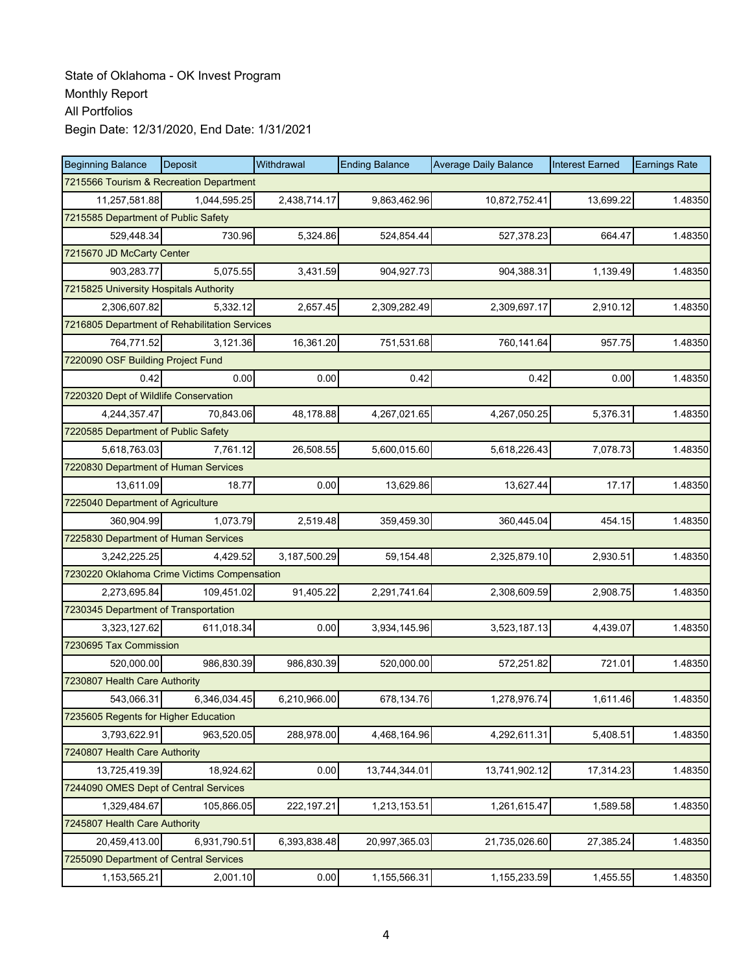| <b>Beginning Balance</b>                      | Deposit      | Withdrawal   | <b>Ending Balance</b> | <b>Average Daily Balance</b> | <b>Interest Earned</b> | <b>Earnings Rate</b> |  |  |
|-----------------------------------------------|--------------|--------------|-----------------------|------------------------------|------------------------|----------------------|--|--|
| 7215566 Tourism & Recreation Department       |              |              |                       |                              |                        |                      |  |  |
| 11,257,581.88                                 | 1,044,595.25 | 2,438,714.17 | 9,863,462.96          | 10,872,752.41                | 13,699.22              | 1.48350              |  |  |
| 7215585 Department of Public Safety           |              |              |                       |                              |                        |                      |  |  |
| 529.448.34                                    | 730.96       | 5,324.86     | 524,854.44            | 527,378.23                   | 664.47                 | 1.48350              |  |  |
| 7215670 JD McCarty Center                     |              |              |                       |                              |                        |                      |  |  |
| 903,283.77                                    | 5,075.55     | 3,431.59     | 904,927.73            | 904,388.31                   | 1,139.49               | 1.48350              |  |  |
| 7215825 University Hospitals Authority        |              |              |                       |                              |                        |                      |  |  |
| 2,306,607.82                                  | 5,332.12     | 2,657.45     | 2,309,282.49          | 2,309,697.17                 | 2,910.12               | 1.48350              |  |  |
| 7216805 Department of Rehabilitation Services |              |              |                       |                              |                        |                      |  |  |
| 764,771.52                                    | 3,121.36     | 16,361.20    | 751,531.68            | 760,141.64                   | 957.75                 | 1.48350              |  |  |
| 7220090 OSF Building Project Fund             |              |              |                       |                              |                        |                      |  |  |
| 0.42                                          | 0.00         | 0.00         | 0.42                  | 0.42                         | 0.00                   | 1.48350              |  |  |
| 7220320 Dept of Wildlife Conservation         |              |              |                       |                              |                        |                      |  |  |
| 4,244,357.47                                  | 70,843.06    | 48,178.88    | 4,267,021.65          | 4,267,050.25                 | 5,376.31               | 1.48350              |  |  |
| 7220585 Department of Public Safety           |              |              |                       |                              |                        |                      |  |  |
| 5,618,763.03                                  | 7,761.12     | 26,508.55    | 5,600,015.60          | 5,618,226.43                 | 7,078.73               | 1.48350              |  |  |
| 7220830 Department of Human Services          |              |              |                       |                              |                        |                      |  |  |
| 13,611.09                                     | 18.77        | 0.00         | 13,629.86             | 13,627.44                    | 17.17                  | 1.48350              |  |  |
| 7225040 Department of Agriculture             |              |              |                       |                              |                        |                      |  |  |
| 360,904.99                                    | 1,073.79     | 2,519.48     | 359,459.30            | 360,445.04                   | 454.15                 | 1.48350              |  |  |
| 7225830 Department of Human Services          |              |              |                       |                              |                        |                      |  |  |
| 3,242,225.25                                  | 4,429.52     | 3,187,500.29 | 59,154.48             | 2,325,879.10                 | 2,930.51               | 1.48350              |  |  |
| 7230220 Oklahoma Crime Victims Compensation   |              |              |                       |                              |                        |                      |  |  |
| 2,273,695.84                                  | 109,451.02   | 91,405.22    | 2,291,741.64          | 2,308,609.59                 | 2,908.75               | 1.48350              |  |  |
| 7230345 Department of Transportation          |              |              |                       |                              |                        |                      |  |  |
| 3,323,127.62                                  | 611,018.34   | 0.00         | 3,934,145.96          | 3,523,187.13                 | 4,439.07               | 1.48350              |  |  |
| 7230695 Tax Commission                        |              |              |                       |                              |                        |                      |  |  |
| 520,000.00                                    | 986,830.39   | 986,830.39   | 520,000.00            | 572,251.82                   | 721.01                 | 1.48350              |  |  |
| 7230807 Health Care Authority                 |              |              |                       |                              |                        |                      |  |  |
| 543,066.31                                    | 6,346,034.45 | 6,210,966.00 | 678,134.76            | 1,278,976.74                 | 1,611.46               | 1.48350              |  |  |
| 7235605 Regents for Higher Education          |              |              |                       |                              |                        |                      |  |  |
| 3,793,622.91                                  | 963,520.05   | 288,978.00   | 4,468,164.96          | 4,292,611.31                 | 5,408.51               | 1.48350              |  |  |
| 7240807 Health Care Authority                 |              |              |                       |                              |                        |                      |  |  |
| 13,725,419.39                                 | 18,924.62    | 0.00         | 13,744,344.01         | 13,741,902.12                | 17,314.23              | 1.48350              |  |  |
| 7244090 OMES Dept of Central Services         |              |              |                       |                              |                        |                      |  |  |
| 1,329,484.67                                  | 105,866.05   | 222, 197.21  | 1,213,153.51          | 1,261,615.47                 | 1,589.58               | 1.48350              |  |  |
| 7245807 Health Care Authority                 |              |              |                       |                              |                        |                      |  |  |
| 20,459,413.00                                 | 6,931,790.51 | 6,393,838.48 | 20,997,365.03         | 21,735,026.60                | 27,385.24              | 1.48350              |  |  |
| 7255090 Department of Central Services        |              |              |                       |                              |                        |                      |  |  |
| 1,153,565.21                                  | 2,001.10     | 0.00         | 1,155,566.31          | 1,155,233.59                 | 1,455.55               | 1.48350              |  |  |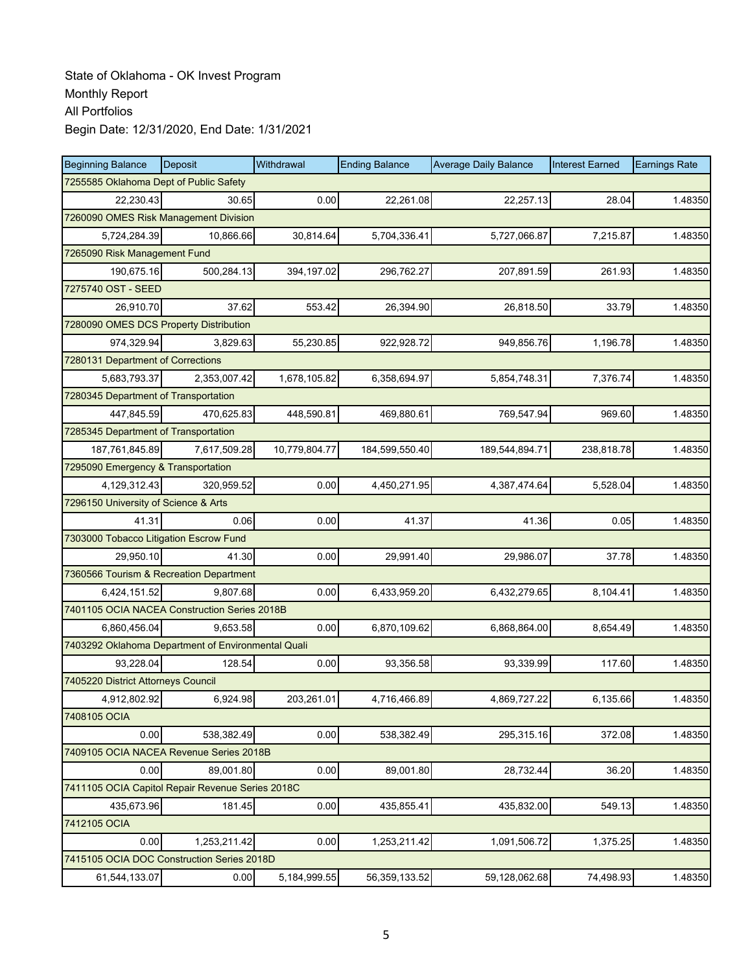| <b>Beginning Balance</b>                           | Deposit      | Withdrawal     | <b>Ending Balance</b> | <b>Average Daily Balance</b> | <b>Interest Earned</b> | <b>Earnings Rate</b> |
|----------------------------------------------------|--------------|----------------|-----------------------|------------------------------|------------------------|----------------------|
| 7255585 Oklahoma Dept of Public Safety             |              |                |                       |                              |                        |                      |
| 22,230.43                                          | 30.65        | 0.00           | 22,261.08             | 22,257.13                    | 28.04                  | 1.48350              |
| 7260090 OMES Risk Management Division              |              |                |                       |                              |                        |                      |
| 5,724,284.39                                       | 10,866.66    | 30,814.64      | 5,704,336.41          | 5,727,066.87                 | 7,215.87               | 1.48350              |
| 7265090 Risk Management Fund                       |              |                |                       |                              |                        |                      |
| 190,675.16                                         | 500,284.13   | 394,197.02     | 296,762.27            | 207,891.59                   | 261.93                 | 1.48350              |
| 7275740 OST - SEED                                 |              |                |                       |                              |                        |                      |
| 26,910.70                                          | 37.62        | 553.42         | 26,394.90             | 26,818.50                    | 33.79                  | 1.48350              |
| 7280090 OMES DCS Property Distribution             |              |                |                       |                              |                        |                      |
| 974,329.94                                         | 3,829.63     | 55,230.85      | 922,928.72            | 949,856.76                   | 1,196.78               | 1.48350              |
| 7280131 Department of Corrections                  |              |                |                       |                              |                        |                      |
| 5,683,793.37                                       | 2,353,007.42 | 1,678,105.82   | 6,358,694.97          | 5,854,748.31                 | 7,376.74               | 1.48350              |
| 7280345 Department of Transportation               |              |                |                       |                              |                        |                      |
| 447.845.59                                         | 470,625.83   | 448,590.81     | 469,880.61            | 769,547.94                   | 969.60                 | 1.48350              |
| 7285345 Department of Transportation               |              |                |                       |                              |                        |                      |
| 187,761,845.89                                     | 7,617,509.28 | 10,779,804.77  | 184,599,550.40        | 189,544,894.71               | 238,818.78             | 1.48350              |
| 7295090 Emergency & Transportation                 |              |                |                       |                              |                        |                      |
| 4,129,312.43                                       | 320,959.52   | 0.00           | 4,450,271.95          | 4,387,474.64                 | 5,528.04               | 1.48350              |
| 7296150 University of Science & Arts               |              |                |                       |                              |                        |                      |
| 41.31                                              | 0.06         | 0.00           | 41.37                 | 41.36                        | 0.05                   | 1.48350              |
| 7303000 Tobacco Litigation Escrow Fund             |              |                |                       |                              |                        |                      |
| 29,950.10                                          | 41.30        | 0.00           | 29,991.40             | 29,986.07                    | 37.78                  | 1.48350              |
| 7360566 Tourism & Recreation Department            |              |                |                       |                              |                        |                      |
| 6,424,151.52                                       | 9.807.68     | 0.00           | 6,433,959.20          | 6,432,279.65                 | 8,104.41               | 1.48350              |
| 7401105 OCIA NACEA Construction Series 2018B       |              |                |                       |                              |                        |                      |
| 6,860,456.04                                       | 9,653.58     | 0.00           | 6,870,109.62          | 6,868,864.00                 | 8,654.49               | 1.48350              |
| 7403292 Oklahoma Department of Environmental Quali |              |                |                       |                              |                        |                      |
| 93,228.04                                          | 128.54       | 0.00           | 93,356.58             | 93,339.99                    | 117.60                 | 1.48350              |
| 7405220 District Attorneys Council                 |              |                |                       |                              |                        |                      |
| 4,912,802.92                                       | 6,924.98     | 203,261.01     | 4,716,466.89          | 4,869,727.22                 | 6,135.66               | 1.48350              |
| 7408105 OCIA                                       |              |                |                       |                              |                        |                      |
| 0.00                                               | 538,382.49   | 0.00           | 538,382.49            | 295,315.16                   | 372.08                 | 1.48350              |
| 7409105 OCIA NACEA Revenue Series 2018B            |              |                |                       |                              |                        |                      |
| 0.00                                               | 89,001.80    | 0.00           | 89,001.80             | 28,732.44                    | 36.20                  | 1.48350              |
| 7411105 OCIA Capitol Repair Revenue Series 2018C   |              |                |                       |                              |                        |                      |
| 435,673.96                                         | 181.45       | 0.00           | 435,855.41            | 435,832.00                   | 549.13                 | 1.48350              |
| 7412105 OCIA                                       |              |                |                       |                              |                        |                      |
| 0.00                                               | 1,253,211.42 | 0.00           | 1,253,211.42          | 1,091,506.72                 | 1,375.25               | 1.48350              |
| 7415105 OCIA DOC Construction Series 2018D         |              |                |                       |                              |                        |                      |
| 61,544,133.07                                      | 0.00         | 5, 184, 999.55 | 56,359,133.52         | 59,128,062.68                | 74,498.93              | 1.48350              |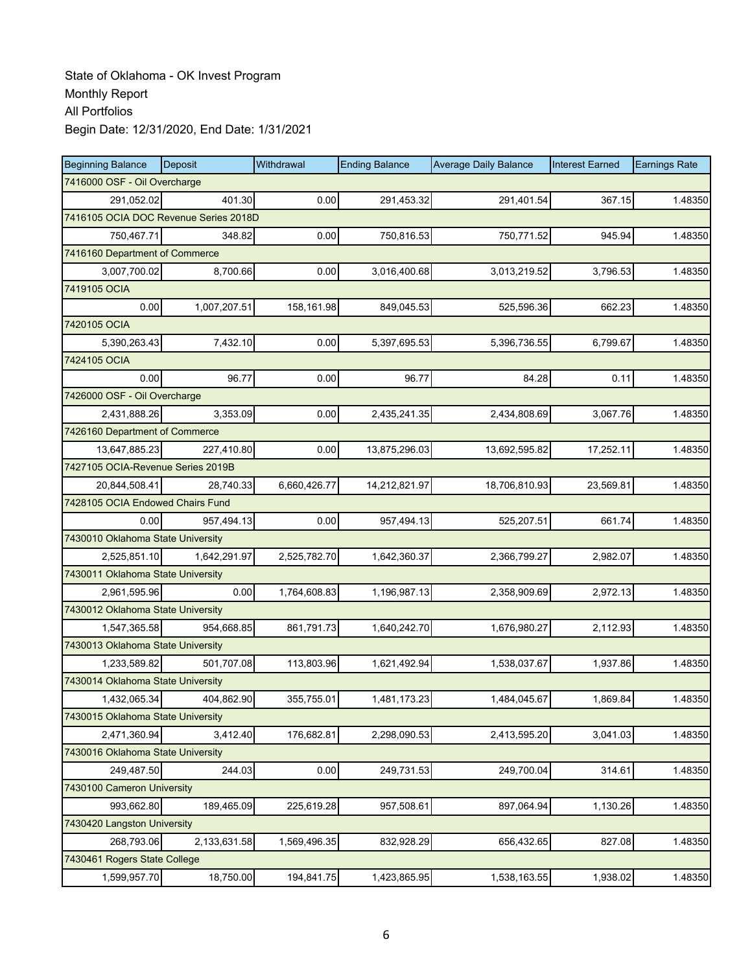| <b>Beginning Balance</b>          | <b>Deposit</b>                        | Withdrawal   | <b>Ending Balance</b> | <b>Average Daily Balance</b> | <b>Interest Earned</b> | <b>Earnings Rate</b> |  |  |  |  |
|-----------------------------------|---------------------------------------|--------------|-----------------------|------------------------------|------------------------|----------------------|--|--|--|--|
| 7416000 OSF - Oil Overcharge      |                                       |              |                       |                              |                        |                      |  |  |  |  |
| 291,052.02                        | 401.30                                | 0.00         | 291,453.32            | 291,401.54                   | 367.15                 | 1.48350              |  |  |  |  |
|                                   | 7416105 OCIA DOC Revenue Series 2018D |              |                       |                              |                        |                      |  |  |  |  |
| 750,467.71                        | 348.82                                | 0.00         | 750,816.53            | 750,771.52                   | 945.94                 | 1.48350              |  |  |  |  |
| 7416160 Department of Commerce    |                                       |              |                       |                              |                        |                      |  |  |  |  |
| 3,007,700.02                      | 8,700.66                              | 0.00         | 3,016,400.68          | 3,013,219.52                 | 3,796.53               | 1.48350              |  |  |  |  |
| 7419105 OCIA                      |                                       |              |                       |                              |                        |                      |  |  |  |  |
| 0.00                              | 1,007,207.51                          | 158,161.98   | 849,045.53            | 525,596.36                   | 662.23                 | 1.48350              |  |  |  |  |
| 7420105 OCIA                      |                                       |              |                       |                              |                        |                      |  |  |  |  |
| 5,390,263.43                      | 7,432.10                              | 0.00         | 5,397,695.53          | 5,396,736.55                 | 6,799.67               | 1.48350              |  |  |  |  |
| 7424105 OCIA                      |                                       |              |                       |                              |                        |                      |  |  |  |  |
| 0.00                              | 96.77                                 | 0.00         | 96.77                 | 84.28                        | 0.11                   | 1.48350              |  |  |  |  |
| 7426000 OSF - Oil Overcharge      |                                       |              |                       |                              |                        |                      |  |  |  |  |
| 2,431,888.26                      | 3,353.09                              | 0.00         | 2,435,241.35          | 2,434,808.69                 | 3,067.76               | 1.48350              |  |  |  |  |
| 7426160 Department of Commerce    |                                       |              |                       |                              |                        |                      |  |  |  |  |
| 13,647,885.23                     | 227,410.80                            | 0.00         | 13,875,296.03         | 13,692,595.82                | 17,252.11              | 1.48350              |  |  |  |  |
| 7427105 OCIA-Revenue Series 2019B |                                       |              |                       |                              |                        |                      |  |  |  |  |
| 20,844,508.41                     | 28,740.33                             | 6,660,426.77 | 14,212,821.97         | 18,706,810.93                | 23,569.81              | 1.48350              |  |  |  |  |
| 7428105 OCIA Endowed Chairs Fund  |                                       |              |                       |                              |                        |                      |  |  |  |  |
| 0.00                              | 957,494.13                            | 0.00         | 957,494.13            | 525,207.51                   | 661.74                 | 1.48350              |  |  |  |  |
| 7430010 Oklahoma State University |                                       |              |                       |                              |                        |                      |  |  |  |  |
| 2,525,851.10                      | 1,642,291.97                          | 2,525,782.70 | 1,642,360.37          | 2,366,799.27                 | 2,982.07               | 1.48350              |  |  |  |  |
| 7430011 Oklahoma State University |                                       |              |                       |                              |                        |                      |  |  |  |  |
| 2,961,595.96                      | 0.00                                  | 1,764,608.83 | 1,196,987.13          | 2,358,909.69                 | 2,972.13               | 1.48350              |  |  |  |  |
| 7430012 Oklahoma State University |                                       |              |                       |                              |                        |                      |  |  |  |  |
| 1,547,365.58                      | 954,668.85                            | 861,791.73   | 1,640,242.70          | 1,676,980.27                 | 2,112.93               | 1.48350              |  |  |  |  |
| 7430013 Oklahoma State University |                                       |              |                       |                              |                        |                      |  |  |  |  |
| 1,233,589.82                      | 501,707.08                            | 113,803.96   | 1,621,492.94          | 1,538,037.67                 | 1,937.86               | 1.48350              |  |  |  |  |
| 7430014 Oklahoma State University |                                       |              |                       |                              |                        |                      |  |  |  |  |
| 1,432,065.34                      | 404,862.90                            | 355,755.01   | 1,481,173.23          | 1,484,045.67                 | 1,869.84               | 1.48350              |  |  |  |  |
| 7430015 Oklahoma State University |                                       |              |                       |                              |                        |                      |  |  |  |  |
| 2,471,360.94                      | 3,412.40                              | 176,682.81   | 2,298,090.53          | 2,413,595.20                 | 3,041.03               | 1.48350              |  |  |  |  |
| 7430016 Oklahoma State University |                                       |              |                       |                              |                        |                      |  |  |  |  |
| 249,487.50                        | 244.03                                | 0.00         | 249,731.53            | 249,700.04                   | 314.61                 | 1.48350              |  |  |  |  |
| 7430100 Cameron University        |                                       |              |                       |                              |                        |                      |  |  |  |  |
| 993,662.80                        | 189,465.09                            | 225,619.28   | 957,508.61            | 897,064.94                   | 1,130.26               | 1.48350              |  |  |  |  |
| 7430420 Langston University       |                                       |              |                       |                              |                        |                      |  |  |  |  |
| 268,793.06                        | 2,133,631.58                          | 1,569,496.35 | 832,928.29            | 656,432.65                   | 827.08                 | 1.48350              |  |  |  |  |
| 7430461 Rogers State College      |                                       |              |                       |                              |                        |                      |  |  |  |  |
| 1,599,957.70                      | 18,750.00                             | 194,841.75   | 1,423,865.95          | 1,538,163.55                 | 1,938.02               | 1.48350              |  |  |  |  |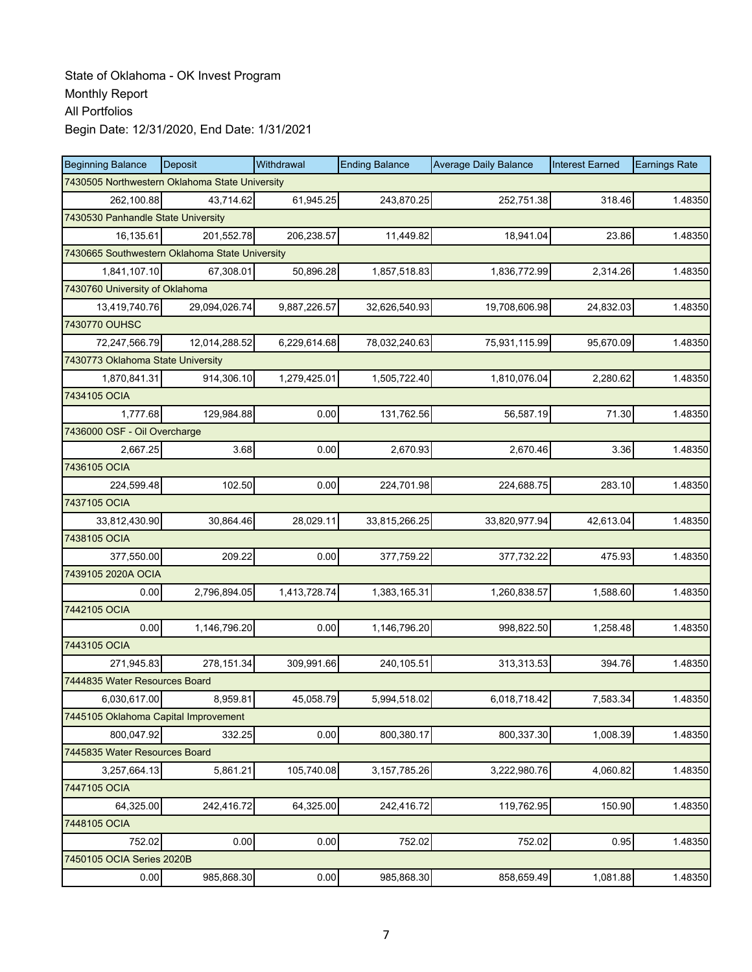| <b>Beginning Balance</b>                       | Deposit       | Withdrawal   | <b>Ending Balance</b> | <b>Average Daily Balance</b> | <b>Interest Earned</b> | <b>Earnings Rate</b> |
|------------------------------------------------|---------------|--------------|-----------------------|------------------------------|------------------------|----------------------|
| 7430505 Northwestern Oklahoma State University |               |              |                       |                              |                        |                      |
| 262,100.88                                     | 43,714.62     | 61,945.25    | 243,870.25            | 252,751.38                   | 318.46                 | 1.48350              |
| 7430530 Panhandle State University             |               |              |                       |                              |                        |                      |
| 16,135.61                                      | 201,552.78    | 206,238.57   | 11,449.82             | 18,941.04                    | 23.86                  | 1.48350              |
| 7430665 Southwestern Oklahoma State University |               |              |                       |                              |                        |                      |
| 1,841,107.10                                   | 67,308.01     | 50,896.28    | 1,857,518.83          | 1,836,772.99                 | 2,314.26               | 1.48350              |
| 7430760 University of Oklahoma                 |               |              |                       |                              |                        |                      |
| 13,419,740.76                                  | 29,094,026.74 | 9,887,226.57 | 32,626,540.93         | 19,708,606.98                | 24,832.03              | 1.48350              |
| 7430770 OUHSC                                  |               |              |                       |                              |                        |                      |
| 72,247,566.79                                  | 12,014,288.52 | 6,229,614.68 | 78,032,240.63         | 75,931,115.99                | 95,670.09              | 1.48350              |
| 7430773 Oklahoma State University              |               |              |                       |                              |                        |                      |
| 1,870,841.31                                   | 914,306.10    | 1,279,425.01 | 1,505,722.40          | 1,810,076.04                 | 2,280.62               | 1.48350              |
| 7434105 OCIA                                   |               |              |                       |                              |                        |                      |
| 1,777.68                                       | 129,984.88    | 0.00         | 131,762.56            | 56,587.19                    | 71.30                  | 1.48350              |
| 7436000 OSF - Oil Overcharge                   |               |              |                       |                              |                        |                      |
| 2,667.25                                       | 3.68          | 0.00         | 2,670.93              | 2,670.46                     | 3.36                   | 1.48350              |
| 7436105 OCIA                                   |               |              |                       |                              |                        |                      |
| 224,599.48                                     | 102.50        | 0.00         | 224,701.98            | 224,688.75                   | 283.10                 | 1.48350              |
| 7437105 OCIA                                   |               |              |                       |                              |                        |                      |
| 33,812,430.90                                  | 30,864.46     | 28,029.11    | 33,815,266.25         | 33,820,977.94                | 42,613.04              | 1.48350              |
| 7438105 OCIA                                   |               |              |                       |                              |                        |                      |
| 377,550.00                                     | 209.22        | 0.00         | 377,759.22            | 377,732.22                   | 475.93                 | 1.48350              |
| 7439105 2020A OCIA                             |               |              |                       |                              |                        |                      |
| 0.00                                           | 2,796,894.05  | 1,413,728.74 | 1,383,165.31          | 1,260,838.57                 | 1,588.60               | 1.48350              |
| 7442105 OCIA                                   |               |              |                       |                              |                        |                      |
| 0.00                                           | 1,146,796.20  | 0.00         | 1,146,796.20          | 998,822.50                   | 1,258.48               | 1.48350              |
| 7443105 OCIA                                   |               |              |                       |                              |                        |                      |
| 271,945.83                                     | 278,151.34    | 309,991.66   | 240,105.51            | 313,313.53                   | 394.76                 | 1.48350              |
| 7444835 Water Resources Board                  |               |              |                       |                              |                        |                      |
| 6,030,617.00                                   | 8,959.81      | 45,058.79    | 5,994,518.02          | 6,018,718.42                 | 7,583.34               | 1.48350              |
| 7445105 Oklahoma Capital Improvement           |               |              |                       |                              |                        |                      |
| 800,047.92                                     | 332.25        | 0.00         | 800,380.17            | 800,337.30                   | 1,008.39               | 1.48350              |
| 7445835 Water Resources Board                  |               |              |                       |                              |                        |                      |
| 3,257,664.13                                   | 5,861.21      | 105,740.08   | 3, 157, 785. 26       | 3,222,980.76                 | 4,060.82               | 1.48350              |
| 7447105 OCIA                                   |               |              |                       |                              |                        |                      |
| 64,325.00                                      | 242,416.72    | 64,325.00    | 242,416.72            | 119,762.95                   | 150.90                 | 1.48350              |
| 7448105 OCIA                                   |               |              |                       |                              |                        |                      |
| 752.02                                         | 0.00          | 0.00         | 752.02                | 752.02                       | 0.95                   | 1.48350              |
| 7450105 OCIA Series 2020B                      |               |              |                       |                              |                        |                      |
| 0.00                                           | 985,868.30    | 0.00         | 985,868.30            | 858,659.49                   | 1,081.88               | 1.48350              |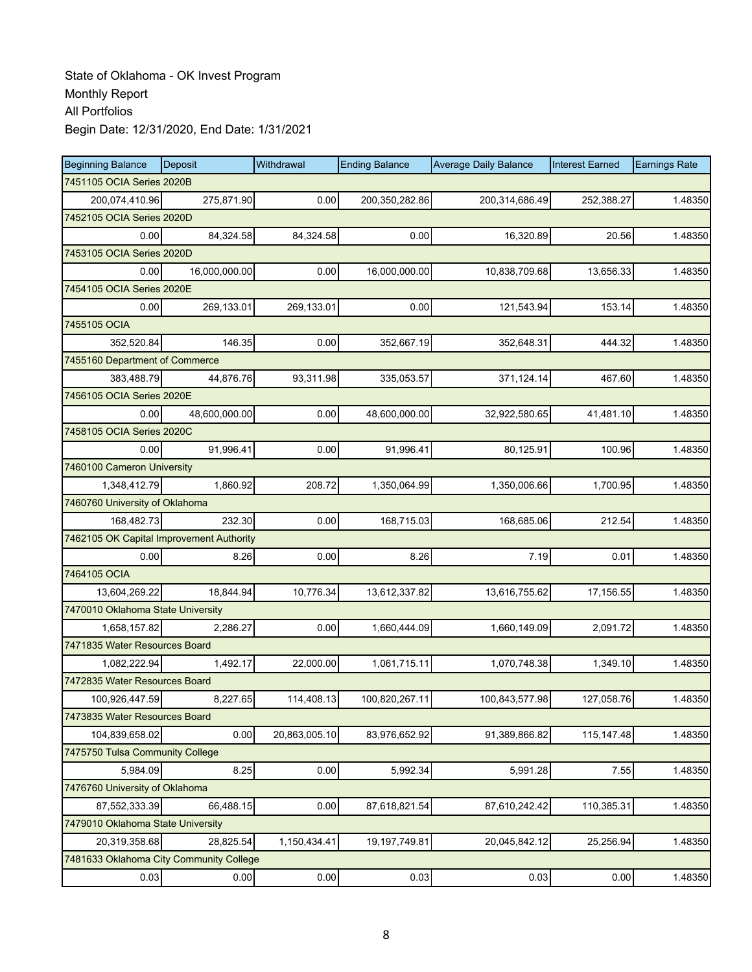| <b>Beginning Balance</b>                 | Deposit                        | Withdrawal    | <b>Ending Balance</b> | <b>Average Daily Balance</b> | <b>Interest Earned</b> | <b>Earnings Rate</b> |  |  |  |
|------------------------------------------|--------------------------------|---------------|-----------------------|------------------------------|------------------------|----------------------|--|--|--|
| 7451105 OCIA Series 2020B                |                                |               |                       |                              |                        |                      |  |  |  |
| 200,074,410.96                           | 275,871.90                     | 0.00          | 200,350,282.86        | 200,314,686.49               | 252,388.27             | 1.48350              |  |  |  |
| 7452105 OCIA Series 2020D                |                                |               |                       |                              |                        |                      |  |  |  |
| 0.00                                     | 84,324.58                      | 84,324.58     | 0.00                  | 16,320.89                    | 20.56                  | 1.48350              |  |  |  |
| 7453105 OCIA Series 2020D                |                                |               |                       |                              |                        |                      |  |  |  |
| 0.00                                     | 16,000,000.00                  | 0.00          | 16,000,000.00         | 10,838,709.68                | 13,656.33              | 1.48350              |  |  |  |
| 7454105 OCIA Series 2020E                |                                |               |                       |                              |                        |                      |  |  |  |
| 0.00                                     | 269,133.01                     | 269,133.01    | 0.00                  | 121,543.94                   | 153.14                 | 1.48350              |  |  |  |
| 7455105 OCIA                             |                                |               |                       |                              |                        |                      |  |  |  |
| 352,520.84                               | 146.35                         | 0.00          | 352,667.19            | 352,648.31                   | 444.32                 | 1.48350              |  |  |  |
| 7455160 Department of Commerce           |                                |               |                       |                              |                        |                      |  |  |  |
| 383,488.79                               | 44,876.76                      | 93,311.98     | 335,053.57            | 371,124.14                   | 467.60                 | 1.48350              |  |  |  |
| 7456105 OCIA Series 2020E                |                                |               |                       |                              |                        |                      |  |  |  |
| 0.00                                     | 48,600,000.00                  | 0.00          | 48,600,000.00         | 32,922,580.65                | 41,481.10              | 1.48350              |  |  |  |
| 7458105 OCIA Series 2020C                |                                |               |                       |                              |                        |                      |  |  |  |
| 0.00                                     | 91,996.41                      | 0.00          | 91,996.41             | 80,125.91                    | 100.96                 | 1.48350              |  |  |  |
| 7460100 Cameron University               |                                |               |                       |                              |                        |                      |  |  |  |
| 1,348,412.79                             | 1,860.92                       | 208.72        | 1,350,064.99          | 1,350,006.66                 | 1,700.95               | 1.48350              |  |  |  |
|                                          | 7460760 University of Oklahoma |               |                       |                              |                        |                      |  |  |  |
| 168,482.73                               | 232.30                         | 0.00          | 168,715.03            | 168,685.06                   | 212.54                 | 1.48350              |  |  |  |
| 7462105 OK Capital Improvement Authority |                                |               |                       |                              |                        |                      |  |  |  |
| 0.00                                     | 8.26                           | 0.00          | 8.26                  | 7.19                         | 0.01                   | 1.48350              |  |  |  |
| 7464105 OCIA                             |                                |               |                       |                              |                        |                      |  |  |  |
| 13,604,269.22                            | 18,844.94                      | 10,776.34     | 13,612,337.82         | 13,616,755.62                | 17,156.55              | 1.48350              |  |  |  |
| 7470010 Oklahoma State University        |                                |               |                       |                              |                        |                      |  |  |  |
| 1,658,157.82                             | 2,286.27                       | 0.00          | 1,660,444.09          | 1,660,149.09                 | 2,091.72               | 1.48350              |  |  |  |
| 7471835 Water Resources Board            |                                |               |                       |                              |                        |                      |  |  |  |
| 1,082,222.94                             | 1,492.17                       | 22,000.00     | 1,061,715.11          | 1,070,748.38                 | 1,349.10               | 1.48350              |  |  |  |
| 7472835 Water Resources Board            |                                |               |                       |                              |                        |                      |  |  |  |
| 100,926,447.59                           | 8,227.65                       | 114,408.13    | 100.820.267.11        | 100,843,577.98               | 127,058.76             | 1.48350              |  |  |  |
| 7473835 Water Resources Board            |                                |               |                       |                              |                        |                      |  |  |  |
| 104,839,658.02                           | 0.00                           | 20,863,005.10 | 83,976,652.92         | 91,389,866.82                | 115,147.48             | 1.48350              |  |  |  |
| 7475750 Tulsa Community College          |                                |               |                       |                              |                        |                      |  |  |  |
| 5,984.09                                 | 8.25                           | 0.00          | 5,992.34              | 5,991.28                     | 7.55                   | 1.48350              |  |  |  |
| 7476760 University of Oklahoma           |                                |               |                       |                              |                        |                      |  |  |  |
| 87,552,333.39                            | 66,488.15                      | 0.00          | 87,618,821.54         | 87,610,242.42                | 110,385.31             | 1.48350              |  |  |  |
| 7479010 Oklahoma State University        |                                |               |                       |                              |                        |                      |  |  |  |
| 20,319,358.68                            | 28,825.54                      | 1,150,434.41  | 19,197,749.81         | 20,045,842.12                | 25,256.94              | 1.48350              |  |  |  |
| 7481633 Oklahoma City Community College  |                                |               |                       |                              |                        |                      |  |  |  |
| 0.03                                     | 0.00                           | 0.00          | 0.03                  | 0.03                         | 0.00                   | 1.48350              |  |  |  |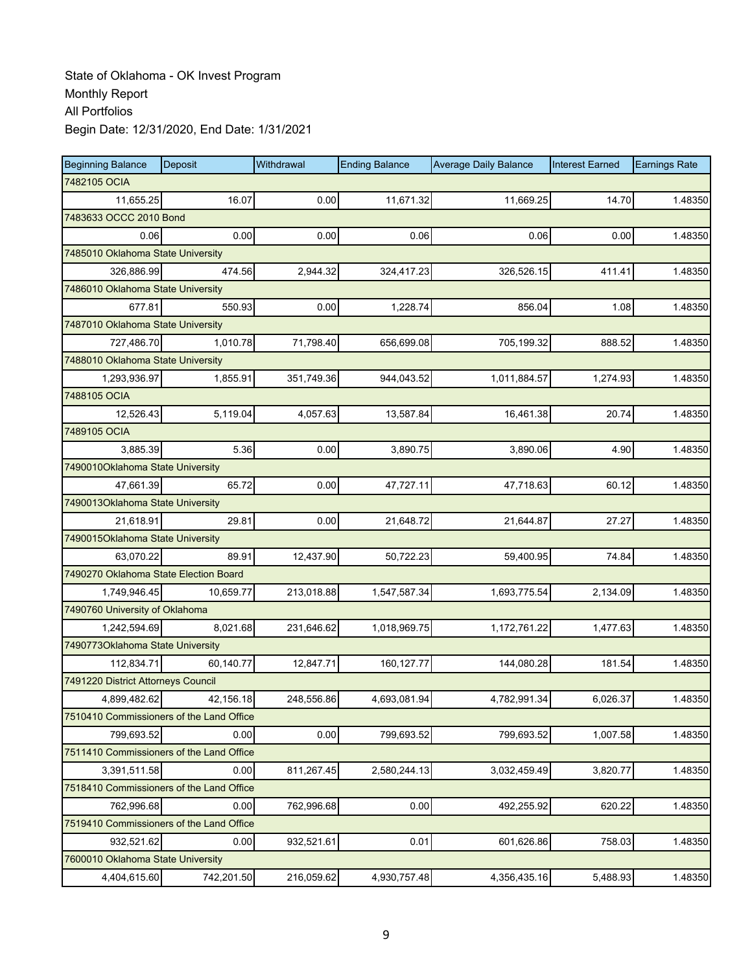| <b>Beginning Balance</b>                 | Deposit    | Withdrawal | <b>Ending Balance</b> | <b>Average Daily Balance</b> | <b>Interest Earned</b> | <b>Earnings Rate</b> |
|------------------------------------------|------------|------------|-----------------------|------------------------------|------------------------|----------------------|
| 7482105 OCIA                             |            |            |                       |                              |                        |                      |
| 11,655.25                                | 16.07      | 0.00       | 11,671.32             | 11,669.25                    | 14.70                  | 1.48350              |
| 7483633 OCCC 2010 Bond                   |            |            |                       |                              |                        |                      |
| 0.06                                     | 0.00       | 0.00       | 0.06                  | 0.06                         | 0.00                   | 1.48350              |
| 7485010 Oklahoma State University        |            |            |                       |                              |                        |                      |
| 326,886.99                               | 474.56     | 2,944.32   | 324,417.23            | 326,526.15                   | 411.41                 | 1.48350              |
| 7486010 Oklahoma State University        |            |            |                       |                              |                        |                      |
| 677.81                                   | 550.93     | 0.00       | 1,228.74              | 856.04                       | 1.08                   | 1.48350              |
| 7487010 Oklahoma State University        |            |            |                       |                              |                        |                      |
| 727,486.70                               | 1,010.78   | 71,798.40  | 656,699.08            | 705,199.32                   | 888.52                 | 1.48350              |
| 7488010 Oklahoma State University        |            |            |                       |                              |                        |                      |
| 1,293,936.97                             | 1,855.91   | 351,749.36 | 944,043.52            | 1,011,884.57                 | 1,274.93               | 1.48350              |
| 7488105 OCIA                             |            |            |                       |                              |                        |                      |
| 12,526.43                                | 5,119.04   | 4,057.63   | 13,587.84             | 16,461.38                    | 20.74                  | 1.48350              |
| 7489105 OCIA                             |            |            |                       |                              |                        |                      |
| 3,885.39                                 | 5.36       | 0.00       | 3,890.75              | 3,890.06                     | 4.90                   | 1.48350              |
| 7490010Oklahoma State University         |            |            |                       |                              |                        |                      |
| 47,661.39                                | 65.72      | 0.00       | 47,727.11             | 47,718.63                    | 60.12                  | 1.48350              |
| 7490013Oklahoma State University         |            |            |                       |                              |                        |                      |
| 21,618.91                                | 29.81      | 0.00       | 21,648.72             | 21,644.87                    | 27.27                  | 1.48350              |
| 7490015Oklahoma State University         |            |            |                       |                              |                        |                      |
| 63,070.22                                | 89.91      | 12,437.90  | 50,722.23             | 59,400.95                    | 74.84                  | 1.48350              |
| 7490270 Oklahoma State Election Board    |            |            |                       |                              |                        |                      |
| 1,749,946.45                             | 10,659.77  | 213,018.88 | 1,547,587.34          | 1,693,775.54                 | 2,134.09               | 1.48350              |
| 7490760 University of Oklahoma           |            |            |                       |                              |                        |                      |
| 1,242,594.69                             | 8,021.68   | 231,646.62 | 1,018,969.75          | 1,172,761.22                 | 1,477.63               | 1.48350              |
| 7490773Oklahoma State University         |            |            |                       |                              |                        |                      |
| 112.834.71                               | 60,140.77  | 12,847.71  | 160, 127. 77          | 144,080.28                   | 181.54                 | 1.48350              |
| 7491220 District Attorneys Council       |            |            |                       |                              |                        |                      |
| 4,899,482.62                             | 42,156.18  | 248.556.86 | 4,693,081.94          | 4,782,991.34                 | 6,026.37               | 1.48350              |
| 7510410 Commissioners of the Land Office |            |            |                       |                              |                        |                      |
| 799,693.52                               | 0.00       | 0.00       | 799,693.52            | 799,693.52                   | 1,007.58               | 1.48350              |
| 7511410 Commissioners of the Land Office |            |            |                       |                              |                        |                      |
| 3,391,511.58                             | 0.00       | 811,267.45 | 2,580,244.13          | 3,032,459.49                 | 3,820.77               | 1.48350              |
| 7518410 Commissioners of the Land Office |            |            |                       |                              |                        |                      |
| 762,996.68                               | 0.00       | 762,996.68 | 0.00                  | 492,255.92                   | 620.22                 | 1.48350              |
| 7519410 Commissioners of the Land Office |            |            |                       |                              |                        |                      |
| 932,521.62                               | 0.00       | 932,521.61 | 0.01                  | 601,626.86                   | 758.03                 | 1.48350              |
| 7600010 Oklahoma State University        |            |            |                       |                              |                        |                      |
| 4,404,615.60                             | 742,201.50 | 216,059.62 | 4,930,757.48          | 4,356,435.16                 | 5,488.93               | 1.48350              |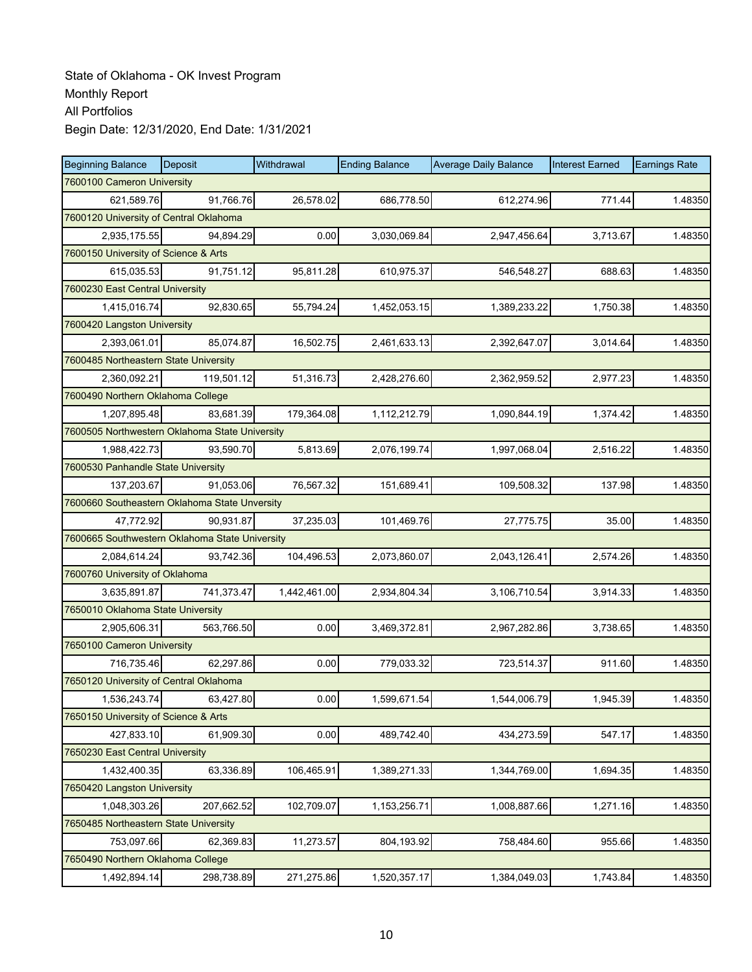| <b>Beginning Balance</b>                       | Deposit    | Withdrawal   | <b>Ending Balance</b> | <b>Average Daily Balance</b> | <b>Interest Earned</b> | <b>Earnings Rate</b> |
|------------------------------------------------|------------|--------------|-----------------------|------------------------------|------------------------|----------------------|
| 7600100 Cameron University                     |            |              |                       |                              |                        |                      |
| 621,589.76                                     | 91.766.76  | 26,578.02    | 686,778.50            | 612,274.96                   | 771.44                 | 1.48350              |
| 7600120 University of Central Oklahoma         |            |              |                       |                              |                        |                      |
| 2,935,175.55                                   | 94,894.29  | 0.00         | 3,030,069.84          | 2,947,456.64                 | 3,713.67               | 1.48350              |
| 7600150 University of Science & Arts           |            |              |                       |                              |                        |                      |
| 615,035.53                                     | 91,751.12  | 95,811.28    | 610,975.37            | 546,548.27                   | 688.63                 | 1.48350              |
| 7600230 East Central University                |            |              |                       |                              |                        |                      |
| 1,415,016.74                                   | 92,830.65  | 55,794.24    | 1,452,053.15          | 1,389,233.22                 | 1,750.38               | 1.48350              |
| 7600420 Langston University                    |            |              |                       |                              |                        |                      |
| 2,393,061.01                                   | 85,074.87  | 16,502.75    | 2,461,633.13          | 2,392,647.07                 | 3,014.64               | 1.48350              |
| 7600485 Northeastern State University          |            |              |                       |                              |                        |                      |
| 2,360,092.21                                   | 119,501.12 | 51,316.73    | 2,428,276.60          | 2,362,959.52                 | 2,977.23               | 1.48350              |
| 7600490 Northern Oklahoma College              |            |              |                       |                              |                        |                      |
| 1,207,895.48                                   | 83,681.39  | 179,364.08   | 1,112,212.79          | 1,090,844.19                 | 1,374.42               | 1.48350              |
| 7600505 Northwestern Oklahoma State University |            |              |                       |                              |                        |                      |
| 1,988,422.73                                   | 93,590.70  | 5,813.69     | 2,076,199.74          | 1,997,068.04                 | 2,516.22               | 1.48350              |
| 7600530 Panhandle State University             |            |              |                       |                              |                        |                      |
| 137,203.67                                     | 91,053.06  | 76,567.32    | 151,689.41            | 109,508.32                   | 137.98                 | 1.48350              |
| 7600660 Southeastern Oklahoma State Unversity  |            |              |                       |                              |                        |                      |
| 47,772.92                                      | 90,931.87  | 37,235.03    | 101,469.76            | 27,775.75                    | 35.00                  | 1.48350              |
| 7600665 Southwestern Oklahoma State University |            |              |                       |                              |                        |                      |
| 2,084,614.24                                   | 93,742.36  | 104,496.53   | 2,073,860.07          | 2,043,126.41                 | 2,574.26               | 1.48350              |
| 7600760 University of Oklahoma                 |            |              |                       |                              |                        |                      |
| 3,635,891.87                                   | 741,373.47 | 1,442,461.00 | 2,934,804.34          | 3,106,710.54                 | 3,914.33               | 1.48350              |
| 7650010 Oklahoma State University              |            |              |                       |                              |                        |                      |
| 2,905,606.31                                   | 563,766.50 | 0.00         | 3,469,372.81          | 2,967,282.86                 | 3,738.65               | 1.48350              |
| 7650100 Cameron University                     |            |              |                       |                              |                        |                      |
| 716,735.46                                     | 62,297.86  | 0.00         | 779,033.32            | 723,514.37                   | 911.60                 | 1.48350              |
| 7650120 University of Central Oklahoma         |            |              |                       |                              |                        |                      |
| 1,536,243.74                                   | 63,427.80  | 0.00         | 1,599,671.54          | 1,544,006.79                 | 1,945.39               | 1.48350              |
| 7650150 University of Science & Arts           |            |              |                       |                              |                        |                      |
| 427,833.10                                     | 61,909.30  | 0.00         | 489,742.40            | 434,273.59                   | 547.17                 | 1.48350              |
| 7650230 East Central University                |            |              |                       |                              |                        |                      |
| 1,432,400.35                                   | 63,336.89  | 106,465.91   | 1,389,271.33          | 1,344,769.00                 | 1,694.35               | 1.48350              |
| 7650420 Langston University                    |            |              |                       |                              |                        |                      |
| 1,048,303.26                                   | 207,662.52 | 102,709.07   | 1,153,256.71          | 1,008,887.66                 | 1,271.16               | 1.48350              |
| 7650485 Northeastern State University          |            |              |                       |                              |                        |                      |
| 753,097.66                                     | 62,369.83  | 11,273.57    | 804,193.92            | 758,484.60                   | 955.66                 | 1.48350              |
| 7650490 Northern Oklahoma College              |            |              |                       |                              |                        |                      |
| 1,492,894.14                                   | 298,738.89 | 271,275.86   | 1,520,357.17          | 1,384,049.03                 | 1,743.84               | 1.48350              |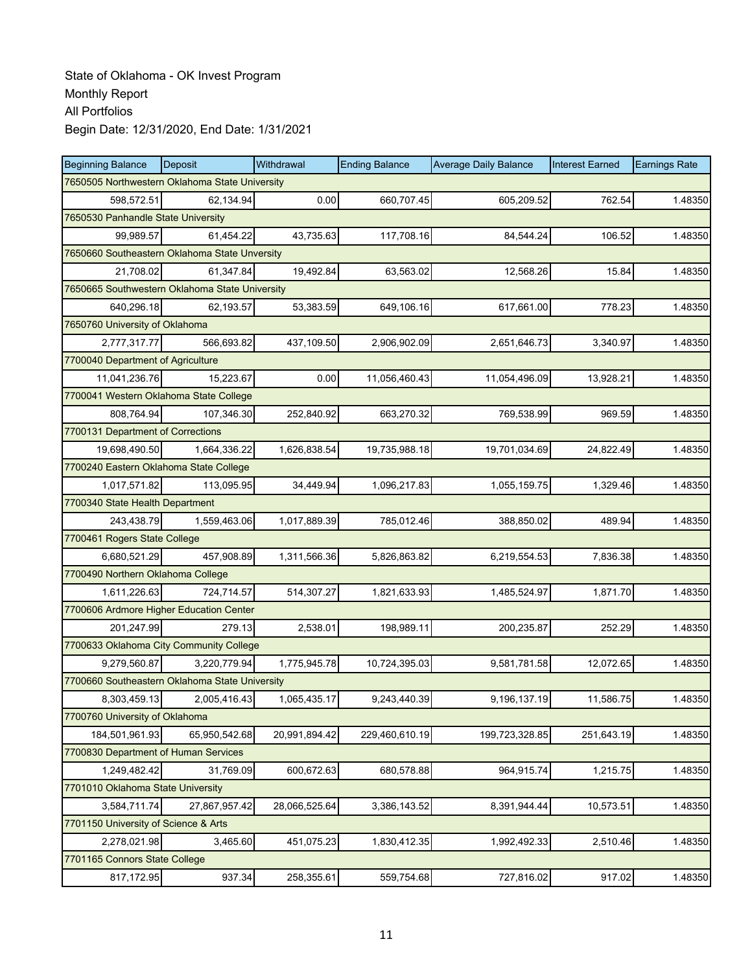| <b>Beginning Balance</b>                       | <b>Deposit</b> | Withdrawal    | <b>Ending Balance</b> | <b>Average Daily Balance</b> | <b>Interest Earned</b> | <b>Earnings Rate</b> |  |  |  |
|------------------------------------------------|----------------|---------------|-----------------------|------------------------------|------------------------|----------------------|--|--|--|
| 7650505 Northwestern Oklahoma State University |                |               |                       |                              |                        |                      |  |  |  |
| 598,572.51                                     | 62,134.94      | 0.00          | 660,707.45            | 605,209.52                   | 762.54                 | 1.48350              |  |  |  |
| 7650530 Panhandle State University             |                |               |                       |                              |                        |                      |  |  |  |
| 99,989.57                                      | 61,454.22      | 43,735.63     | 117,708.16            | 84,544.24                    | 106.52                 | 1.48350              |  |  |  |
| 7650660 Southeastern Oklahoma State Unversity  |                |               |                       |                              |                        |                      |  |  |  |
| 21,708.02                                      | 61,347.84      | 19,492.84     | 63,563.02             | 12,568.26                    | 15.84                  | 1.48350              |  |  |  |
| 7650665 Southwestern Oklahoma State University |                |               |                       |                              |                        |                      |  |  |  |
| 640,296.18                                     | 62,193.57      | 53,383.59     | 649,106.16            | 617,661.00                   | 778.23                 | 1.48350              |  |  |  |
| 7650760 University of Oklahoma                 |                |               |                       |                              |                        |                      |  |  |  |
| 2,777,317.77                                   | 566,693.82     | 437,109.50    | 2,906,902.09          | 2,651,646.73                 | 3,340.97               | 1.48350              |  |  |  |
| 7700040 Department of Agriculture              |                |               |                       |                              |                        |                      |  |  |  |
| 11,041,236.76                                  | 15,223.67      | 0.00          | 11,056,460.43         | 11,054,496.09                | 13,928.21              | 1.48350              |  |  |  |
| 7700041 Western Oklahoma State College         |                |               |                       |                              |                        |                      |  |  |  |
| 808,764.94                                     | 107,346.30     | 252,840.92    | 663,270.32            | 769,538.99                   | 969.59                 | 1.48350              |  |  |  |
| 7700131 Department of Corrections              |                |               |                       |                              |                        |                      |  |  |  |
| 19,698,490.50                                  | 1,664,336.22   | 1,626,838.54  | 19,735,988.18         | 19,701,034.69                | 24,822.49              | 1.48350              |  |  |  |
| 7700240 Eastern Oklahoma State College         |                |               |                       |                              |                        |                      |  |  |  |
| 1,017,571.82                                   | 113,095.95     | 34,449.94     | 1,096,217.83          | 1,055,159.75                 | 1,329.46               | 1.48350              |  |  |  |
| 7700340 State Health Department                |                |               |                       |                              |                        |                      |  |  |  |
| 243,438.79                                     | 1,559,463.06   | 1,017,889.39  | 785,012.46            | 388,850.02                   | 489.94                 | 1.48350              |  |  |  |
| 7700461 Rogers State College                   |                |               |                       |                              |                        |                      |  |  |  |
| 6,680,521.29                                   | 457,908.89     | 1,311,566.36  | 5,826,863.82          | 6,219,554.53                 | 7,836.38               | 1.48350              |  |  |  |
| 7700490 Northern Oklahoma College              |                |               |                       |                              |                        |                      |  |  |  |
| 1,611,226.63                                   | 724,714.57     | 514,307.27    | 1,821,633.93          | 1,485,524.97                 | 1,871.70               | 1.48350              |  |  |  |
| 7700606 Ardmore Higher Education Center        |                |               |                       |                              |                        |                      |  |  |  |
| 201,247.99                                     | 279.13         | 2,538.01      | 198,989.11            | 200,235.87                   | 252.29                 | 1.48350              |  |  |  |
| 7700633 Oklahoma City Community College        |                |               |                       |                              |                        |                      |  |  |  |
| 9,279,560.87                                   | 3,220,779.94   | 1,775,945.78  | 10,724,395.03         | 9,581,781.58                 | 12,072.65              | 1.48350              |  |  |  |
| 7700660 Southeastern Oklahoma State University |                |               |                       |                              |                        |                      |  |  |  |
| 8,303,459.13                                   | 2,005,416.43   | 1,065,435.17  | 9,243,440.39          | 9,196,137.19                 | 11,586.75              | 1.48350              |  |  |  |
| 7700760 University of Oklahoma                 |                |               |                       |                              |                        |                      |  |  |  |
| 184,501,961.93                                 | 65,950,542.68  | 20,991,894.42 | 229,460,610.19        | 199,723,328.85               | 251,643.19             | 1.48350              |  |  |  |
| 7700830 Department of Human Services           |                |               |                       |                              |                        |                      |  |  |  |
| 1,249,482.42                                   | 31,769.09      | 600,672.63    | 680,578.88            | 964,915.74                   | 1,215.75               | 1.48350              |  |  |  |
| 7701010 Oklahoma State University              |                |               |                       |                              |                        |                      |  |  |  |
| 3,584,711.74                                   | 27,867,957.42  | 28,066,525.64 | 3,386,143.52          | 8,391,944.44                 | 10,573.51              | 1.48350              |  |  |  |
| 7701150 University of Science & Arts           |                |               |                       |                              |                        |                      |  |  |  |
| 2,278,021.98                                   | 3,465.60       | 451,075.23    | 1,830,412.35          | 1,992,492.33                 | 2,510.46               | 1.48350              |  |  |  |
| 7701165 Connors State College                  |                |               |                       |                              |                        |                      |  |  |  |
| 817,172.95                                     | 937.34         | 258,355.61    | 559,754.68            | 727,816.02                   | 917.02                 | 1.48350              |  |  |  |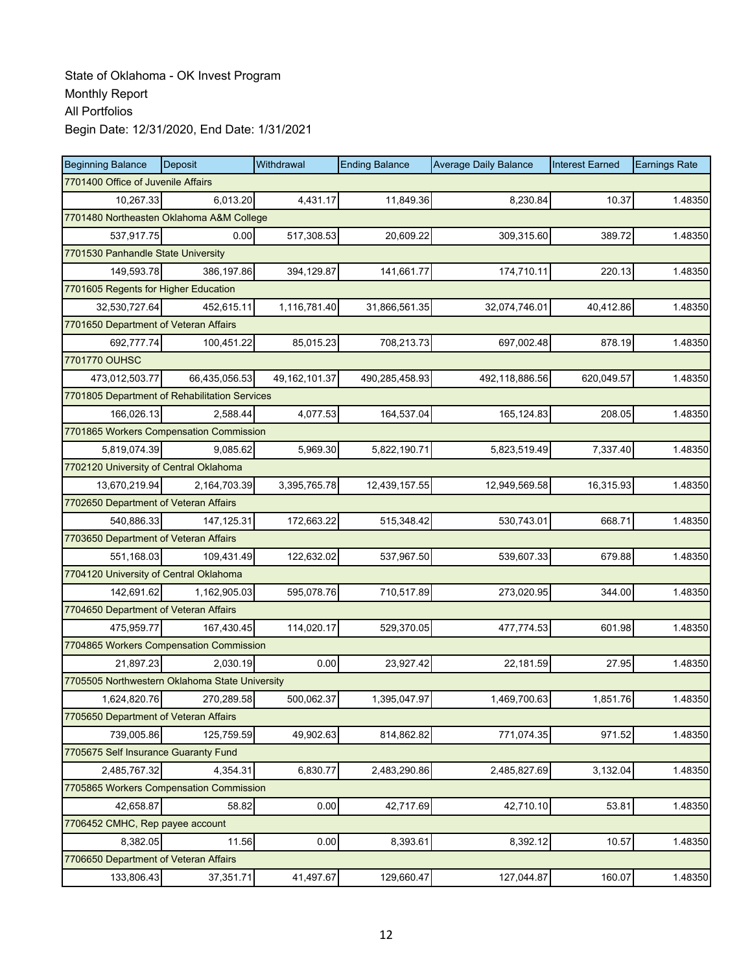| <b>Beginning Balance</b>                       | <b>Deposit</b>                           | Withdrawal      | <b>Ending Balance</b> | <b>Average Daily Balance</b> | <b>Interest Earned</b> | <b>Earnings Rate</b> |  |  |  |  |
|------------------------------------------------|------------------------------------------|-----------------|-----------------------|------------------------------|------------------------|----------------------|--|--|--|--|
| 7701400 Office of Juvenile Affairs             |                                          |                 |                       |                              |                        |                      |  |  |  |  |
| 10,267.33                                      | 6,013.20                                 | 4,431.17        | 11,849.36             | 8,230.84                     | 10.37                  | 1.48350              |  |  |  |  |
|                                                | 7701480 Northeasten Oklahoma A&M College |                 |                       |                              |                        |                      |  |  |  |  |
| 537,917.75                                     | 0.00                                     | 517,308.53      | 20,609.22             | 309,315.60                   | 389.72                 | 1.48350              |  |  |  |  |
| 7701530 Panhandle State University             |                                          |                 |                       |                              |                        |                      |  |  |  |  |
| 149,593.78                                     | 386,197.86                               | 394,129.87      | 141,661.77            | 174,710.11                   | 220.13                 | 1.48350              |  |  |  |  |
| 7701605 Regents for Higher Education           |                                          |                 |                       |                              |                        |                      |  |  |  |  |
| 32,530,727.64                                  | 452,615.11                               | 1,116,781.40    | 31,866,561.35         | 32,074,746.01                | 40,412.86              | 1.48350              |  |  |  |  |
| 7701650 Department of Veteran Affairs          |                                          |                 |                       |                              |                        |                      |  |  |  |  |
| 692,777.74                                     | 100,451.22                               | 85,015.23       | 708,213.73            | 697,002.48                   | 878.19                 | 1.48350              |  |  |  |  |
| 7701770 OUHSC                                  |                                          |                 |                       |                              |                        |                      |  |  |  |  |
| 473,012,503.77                                 | 66,435,056.53                            | 49, 162, 101.37 | 490,285,458.93        | 492,118,886.56               | 620,049.57             | 1.48350              |  |  |  |  |
| 7701805 Department of Rehabilitation Services  |                                          |                 |                       |                              |                        |                      |  |  |  |  |
| 166,026.13                                     | 2,588.44                                 | 4,077.53        | 164,537.04            | 165,124.83                   | 208.05                 | 1.48350              |  |  |  |  |
| 7701865 Workers Compensation Commission        |                                          |                 |                       |                              |                        |                      |  |  |  |  |
| 5,819,074.39                                   | 9,085.62                                 | 5,969.30        | 5,822,190.71          | 5,823,519.49                 | 7,337.40               | 1.48350              |  |  |  |  |
| 7702120 University of Central Oklahoma         |                                          |                 |                       |                              |                        |                      |  |  |  |  |
| 13,670,219.94                                  | 2,164,703.39                             | 3,395,765.78    | 12,439,157.55         | 12,949,569.58                | 16,315.93              | 1.48350              |  |  |  |  |
| 7702650 Department of Veteran Affairs          |                                          |                 |                       |                              |                        |                      |  |  |  |  |
| 540,886.33                                     | 147, 125.31                              | 172,663.22      | 515,348.42            | 530,743.01                   | 668.71                 | 1.48350              |  |  |  |  |
| 7703650 Department of Veteran Affairs          |                                          |                 |                       |                              |                        |                      |  |  |  |  |
| 551,168.03                                     | 109,431.49                               | 122,632.02      | 537,967.50            | 539,607.33                   | 679.88                 | 1.48350              |  |  |  |  |
| 7704120 University of Central Oklahoma         |                                          |                 |                       |                              |                        |                      |  |  |  |  |
| 142,691.62                                     | 1,162,905.03                             | 595,078.76      | 710,517.89            | 273,020.95                   | 344.00                 | 1.48350              |  |  |  |  |
| 7704650 Department of Veteran Affairs          |                                          |                 |                       |                              |                        |                      |  |  |  |  |
| 475,959.77                                     | 167,430.45                               | 114,020.17      | 529,370.05            | 477,774.53                   | 601.98                 | 1.48350              |  |  |  |  |
| 7704865 Workers Compensation Commission        |                                          |                 |                       |                              |                        |                      |  |  |  |  |
| 21,897.23                                      | 2.030.19                                 | 0.00            | 23,927.42             | 22,181.59                    | 27.95                  | 1.48350              |  |  |  |  |
| 7705505 Northwestern Oklahoma State University |                                          |                 |                       |                              |                        |                      |  |  |  |  |
| 1,624,820.76                                   | 270,289.58                               | 500,062.37      | 1,395,047.97          | 1,469,700.63                 | 1,851.76               | 1.48350              |  |  |  |  |
| 7705650 Department of Veteran Affairs          |                                          |                 |                       |                              |                        |                      |  |  |  |  |
| 739,005.86                                     | 125,759.59                               | 49,902.63       | 814,862.82            | 771,074.35                   | 971.52                 | 1.48350              |  |  |  |  |
| 7705675 Self Insurance Guaranty Fund           |                                          |                 |                       |                              |                        |                      |  |  |  |  |
| 2,485,767.32                                   | 4,354.31                                 | 6,830.77        | 2,483,290.86          | 2,485,827.69                 | 3,132.04               | 1.48350              |  |  |  |  |
| 7705865 Workers Compensation Commission        |                                          |                 |                       |                              |                        |                      |  |  |  |  |
| 42,658.87                                      | 58.82                                    | 0.00            | 42,717.69             | 42,710.10                    | 53.81                  | 1.48350              |  |  |  |  |
| 7706452 CMHC, Rep payee account                |                                          |                 |                       |                              |                        |                      |  |  |  |  |
| 8,382.05                                       | 11.56                                    | 0.00            | 8,393.61              | 8,392.12                     | 10.57                  | 1.48350              |  |  |  |  |
| 7706650 Department of Veteran Affairs          |                                          |                 |                       |                              |                        |                      |  |  |  |  |
| 133,806.43                                     | 37,351.71                                | 41,497.67       | 129,660.47            | 127,044.87                   | 160.07                 | 1.48350              |  |  |  |  |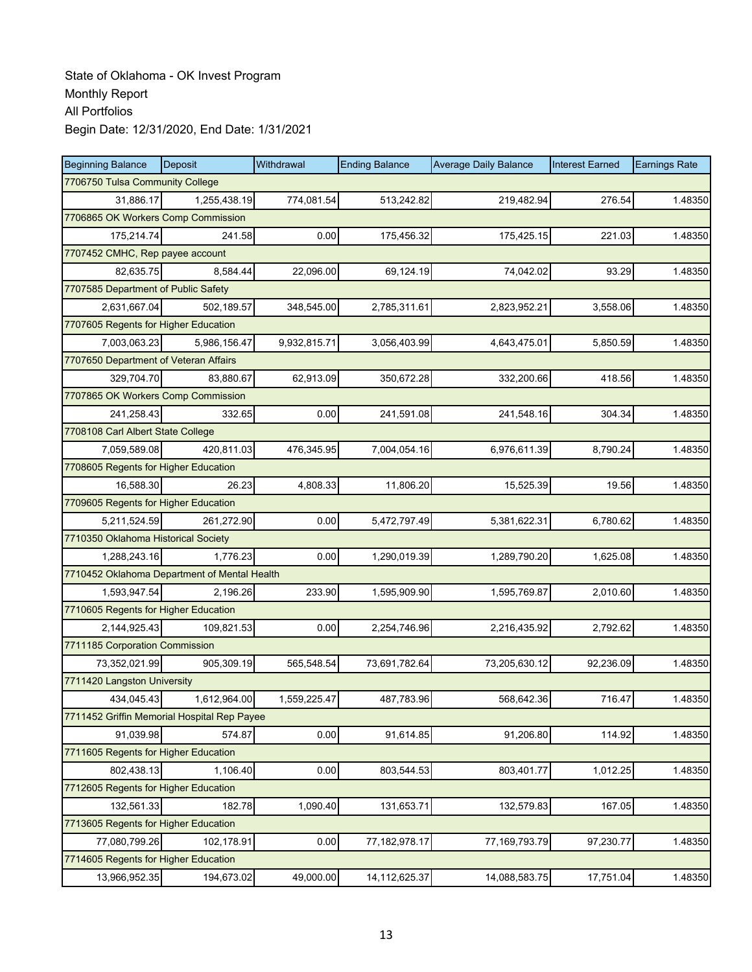| <b>Beginning Balance</b>                     | <b>Deposit</b> | Withdrawal   | <b>Ending Balance</b> | <b>Average Daily Balance</b> | <b>Interest Earned</b> | <b>Earnings Rate</b> |  |  |
|----------------------------------------------|----------------|--------------|-----------------------|------------------------------|------------------------|----------------------|--|--|
| 7706750 Tulsa Community College              |                |              |                       |                              |                        |                      |  |  |
| 31,886.17                                    | 1,255,438.19   | 774,081.54   | 513,242.82            | 219,482.94                   | 276.54                 | 1.48350              |  |  |
| 7706865 OK Workers Comp Commission           |                |              |                       |                              |                        |                      |  |  |
| 175,214.74                                   | 241.58         | 0.00         | 175,456.32            | 175,425.15                   | 221.03                 | 1.48350              |  |  |
| 7707452 CMHC, Rep payee account              |                |              |                       |                              |                        |                      |  |  |
| 82,635.75                                    | 8,584.44       | 22,096.00    | 69,124.19             | 74,042.02                    | 93.29                  | 1.48350              |  |  |
| 7707585 Department of Public Safety          |                |              |                       |                              |                        |                      |  |  |
| 2,631,667.04                                 | 502,189.57     | 348,545.00   | 2,785,311.61          | 2,823,952.21                 | 3,558.06               | 1.48350              |  |  |
| 7707605 Regents for Higher Education         |                |              |                       |                              |                        |                      |  |  |
| 7,003,063.23                                 | 5,986,156.47   | 9,932,815.71 | 3,056,403.99          | 4,643,475.01                 | 5,850.59               | 1.48350              |  |  |
| 7707650 Department of Veteran Affairs        |                |              |                       |                              |                        |                      |  |  |
| 329,704.70                                   | 83,880.67      | 62,913.09    | 350,672.28            | 332,200.66                   | 418.56                 | 1.48350              |  |  |
| 7707865 OK Workers Comp Commission           |                |              |                       |                              |                        |                      |  |  |
| 241,258.43                                   | 332.65         | 0.00         | 241,591.08            | 241,548.16                   | 304.34                 | 1.48350              |  |  |
| 7708108 Carl Albert State College            |                |              |                       |                              |                        |                      |  |  |
| 7,059,589.08                                 | 420,811.03     | 476,345.95   | 7,004,054.16          | 6,976,611.39                 | 8,790.24               | 1.48350              |  |  |
| 7708605 Regents for Higher Education         |                |              |                       |                              |                        |                      |  |  |
| 16,588.30                                    | 26.23          | 4,808.33     | 11,806.20             | 15,525.39                    | 19.56                  | 1.48350              |  |  |
| 7709605 Regents for Higher Education         |                |              |                       |                              |                        |                      |  |  |
| 5,211,524.59                                 | 261,272.90     | 0.00         | 5,472,797.49          | 5,381,622.31                 | 6,780.62               | 1.48350              |  |  |
| 7710350 Oklahoma Historical Society          |                |              |                       |                              |                        |                      |  |  |
| 1,288,243.16                                 | 1,776.23       | 0.00         | 1,290,019.39          | 1,289,790.20                 | 1,625.08               | 1.48350              |  |  |
| 7710452 Oklahoma Department of Mental Health |                |              |                       |                              |                        |                      |  |  |
| 1,593,947.54                                 | 2,196.26       | 233.90       | 1,595,909.90          | 1,595,769.87                 | 2,010.60               | 1.48350              |  |  |
| 7710605 Regents for Higher Education         |                |              |                       |                              |                        |                      |  |  |
| 2,144,925.43                                 | 109,821.53     | 0.00         | 2,254,746.96          | 2,216,435.92                 | 2,792.62               | 1.48350              |  |  |
| 7711185 Corporation Commission               |                |              |                       |                              |                        |                      |  |  |
| 73,352,021.99                                | 905,309.19     | 565,548.54   | 73,691,782.64         | 73,205,630.12                | 92,236.09              | 1.48350              |  |  |
| 7711420 Langston University                  |                |              |                       |                              |                        |                      |  |  |
| 434,045.43                                   | 1,612,964.00   | 1,559,225.47 | 487,783.96            | 568.642.36                   | 716.47                 | 1.48350              |  |  |
| 7711452 Griffin Memorial Hospital Rep Payee  |                |              |                       |                              |                        |                      |  |  |
| 91,039.98                                    | 574.87         | 0.00         | 91,614.85             | 91,206.80                    | 114.92                 | 1.48350              |  |  |
| 7711605 Regents for Higher Education         |                |              |                       |                              |                        |                      |  |  |
| 802,438.13                                   | 1,106.40       | 0.00         | 803,544.53            | 803,401.77                   | 1,012.25               | 1.48350              |  |  |
| 7712605 Regents for Higher Education         |                |              |                       |                              |                        |                      |  |  |
| 132,561.33                                   | 182.78         | 1,090.40     | 131,653.71            | 132,579.83                   | 167.05                 | 1.48350              |  |  |
| 7713605 Regents for Higher Education         |                |              |                       |                              |                        |                      |  |  |
| 77,080,799.26                                | 102,178.91     | 0.00         | 77,182,978.17         | 77,169,793.79                | 97,230.77              | 1.48350              |  |  |
| 7714605 Regents for Higher Education         |                |              |                       |                              |                        |                      |  |  |
| 13,966,952.35                                | 194,673.02     | 49,000.00    | 14,112,625.37         | 14,088,583.75                | 17,751.04              | 1.48350              |  |  |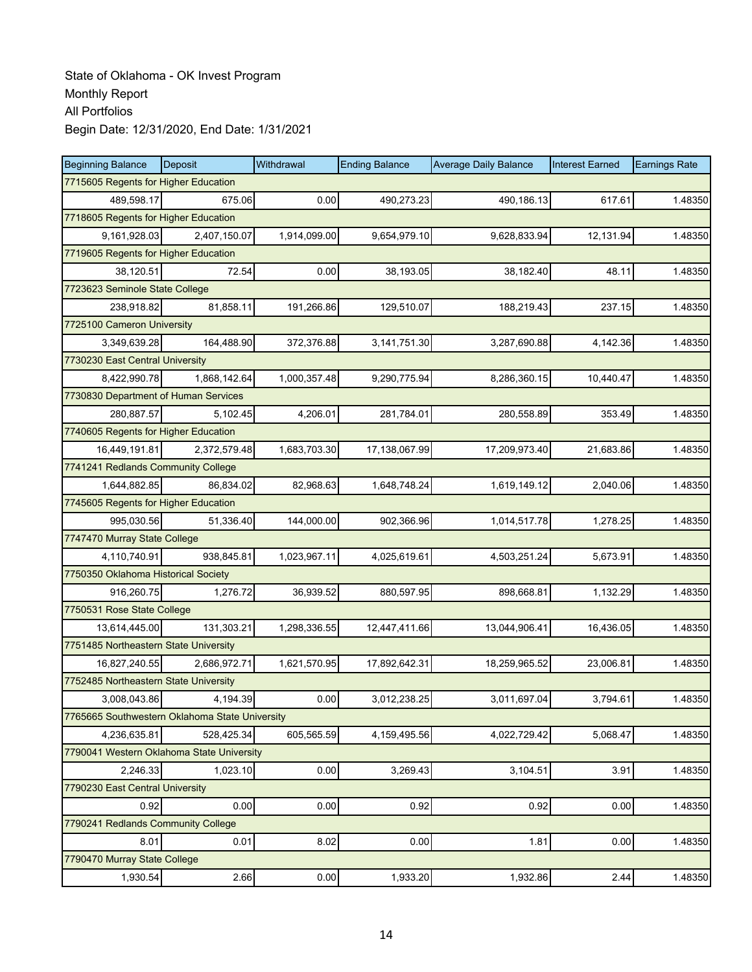| <b>Beginning Balance</b>                       | Deposit      | Withdrawal   | <b>Ending Balance</b> | <b>Average Daily Balance</b> | <b>Interest Earned</b> | <b>Earnings Rate</b> |  |  |
|------------------------------------------------|--------------|--------------|-----------------------|------------------------------|------------------------|----------------------|--|--|
| 7715605 Regents for Higher Education           |              |              |                       |                              |                        |                      |  |  |
| 489,598.17                                     | 675.06       | 0.00         | 490,273.23            | 490,186.13                   | 617.61                 | 1.48350              |  |  |
| 7718605 Regents for Higher Education           |              |              |                       |                              |                        |                      |  |  |
| 9,161,928.03                                   | 2,407,150.07 | 1,914,099.00 | 9,654,979.10          | 9,628,833.94                 | 12,131.94              | 1.48350              |  |  |
| 7719605 Regents for Higher Education           |              |              |                       |                              |                        |                      |  |  |
| 38,120.51                                      | 72.54        | 0.00         | 38,193.05             | 38,182.40                    | 48.11                  | 1.48350              |  |  |
| 7723623 Seminole State College                 |              |              |                       |                              |                        |                      |  |  |
| 238,918.82                                     | 81,858.11    | 191,266.86   | 129.510.07            | 188,219.43                   | 237.15                 | 1.48350              |  |  |
| 7725100 Cameron University                     |              |              |                       |                              |                        |                      |  |  |
| 3,349,639.28                                   | 164,488.90   | 372,376.88   | 3,141,751.30          | 3,287,690.88                 | 4,142.36               | 1.48350              |  |  |
| 7730230 East Central University                |              |              |                       |                              |                        |                      |  |  |
| 8,422,990.78                                   | 1,868,142.64 | 1,000,357.48 | 9,290,775.94          | 8,286,360.15                 | 10,440.47              | 1.48350              |  |  |
| 7730830 Department of Human Services           |              |              |                       |                              |                        |                      |  |  |
| 280.887.57                                     | 5,102.45     | 4,206.01     | 281,784.01            | 280,558.89                   | 353.49                 | 1.48350              |  |  |
| 7740605 Regents for Higher Education           |              |              |                       |                              |                        |                      |  |  |
| 16,449,191.81                                  | 2,372,579.48 | 1,683,703.30 | 17,138,067.99         | 17,209,973.40                | 21,683.86              | 1.48350              |  |  |
| 7741241 Redlands Community College             |              |              |                       |                              |                        |                      |  |  |
| 1,644,882.85                                   | 86,834.02    | 82,968.63    | 1,648,748.24          | 1,619,149.12                 | 2,040.06               | 1.48350              |  |  |
| 7745605 Regents for Higher Education           |              |              |                       |                              |                        |                      |  |  |
| 995,030.56                                     | 51,336.40    | 144,000.00   | 902,366.96            | 1,014,517.78                 | 1,278.25               | 1.48350              |  |  |
| 7747470 Murray State College                   |              |              |                       |                              |                        |                      |  |  |
| 4,110,740.91                                   | 938,845.81   | 1,023,967.11 | 4,025,619.61          | 4,503,251.24                 | 5,673.91               | 1.48350              |  |  |
| 7750350 Oklahoma Historical Society            |              |              |                       |                              |                        |                      |  |  |
| 916,260.75                                     | 1,276.72     | 36,939.52    | 880,597.95            | 898,668.81                   | 1,132.29               | 1.48350              |  |  |
| 7750531 Rose State College                     |              |              |                       |                              |                        |                      |  |  |
| 13,614,445.00                                  | 131,303.21   | 1,298,336.55 | 12,447,411.66         | 13,044,906.41                | 16,436.05              | 1.48350              |  |  |
| 7751485 Northeastern State University          |              |              |                       |                              |                        |                      |  |  |
| 16,827,240.55                                  | 2,686,972.71 | 1,621,570.95 | 17,892,642.31         | 18,259,965.52                | 23,006.81              | 1.48350              |  |  |
| 7752485 Northeastern State University          |              |              |                       |                              |                        |                      |  |  |
| 3,008,043.86                                   | 4,194.39     | 0.00         | 3,012,238.25          | 3,011,697.04                 | 3,794.61               | 1.48350              |  |  |
| 7765665 Southwestern Oklahoma State University |              |              |                       |                              |                        |                      |  |  |
| 4,236,635.81                                   | 528,425.34   | 605,565.59   | 4,159,495.56          | 4,022,729.42                 | 5,068.47               | 1.48350              |  |  |
| 7790041 Western Oklahoma State University      |              |              |                       |                              |                        |                      |  |  |
| 2,246.33                                       | 1,023.10     | 0.00         | 3,269.43              | 3,104.51                     | 3.91                   | 1.48350              |  |  |
| 7790230 East Central University                |              |              |                       |                              |                        |                      |  |  |
| 0.92                                           | 0.00         | 0.00         | 0.92                  | 0.92                         | 0.00                   | 1.48350              |  |  |
| 7790241 Redlands Community College             |              |              |                       |                              |                        |                      |  |  |
| 8.01                                           | 0.01         | 8.02         | 0.00                  | 1.81                         | 0.00                   | 1.48350              |  |  |
| 7790470 Murray State College                   |              |              |                       |                              |                        |                      |  |  |
| 1,930.54                                       | 2.66         | 0.00         | 1,933.20              | 1,932.86                     | 2.44                   | 1.48350              |  |  |